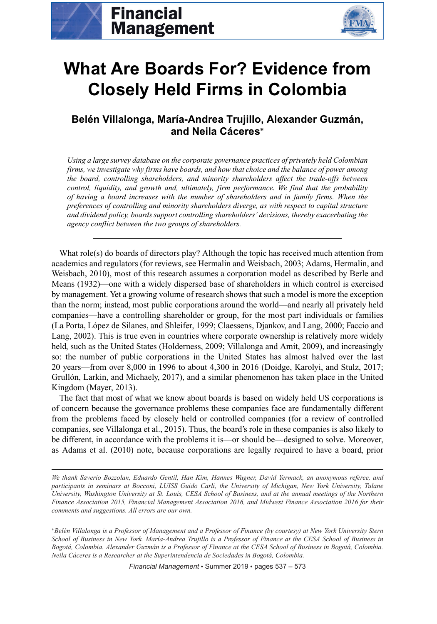



# **What Are Boards For? Evidence from Closely Held Firms in Colombia**

# **Belen Villalonga, Mar ´ ´ıa-Andrea Trujillo, Alexander Guzman, ´ and Neila Caceres ´ <sup>∗</sup>**

*Using a large survey database on the corporate governance practices of privately held Colombian firms, we investigate why firms have boards, and how that choice and the balance of power among the board, controlling shareholders, and minority shareholders affect the trade-offs between control, liquidity, and growth and, ultimately, firm performance. We find that the probability of having a board increases with the number of shareholders and in family firms. When the preferences of controlling and minority shareholders diverge, as with respect to capital structure and dividend policy, boards support controlling shareholders' decisions, thereby exacerbating the agency conflict between the two groups of shareholders.*

What role(s) do boards of directors play? Although the topic has received much attention from academics and regulators (for reviews, see Hermalin and Weisbach, 2003; Adams, Hermalin, and Weisbach, 2010), most of this research assumes a corporation model as described by Berle and Means (1932)—one with a widely dispersed base of shareholders in which control is exercised by management. Yet a growing volume of research shows that such a model is more the exception than the norm; instead, most public corporations around the world—and nearly all privately held companies—have a controlling shareholder or group, for the most part individuals or families (La Porta, López de Silanes, and Shleifer, 1999; Claessens, Djankov, and Lang, 2000; Faccio and Lang, 2002). This is true even in countries where corporate ownership is relatively more widely held, such as the United States (Holderness, 2009; Villalonga and Amit, 2009), and increasingly so: the number of public corporations in the United States has almost halved over the last 20 years—from over 8,000 in 1996 to about 4,300 in 2016 (Doidge, Karolyi, and Stulz, 2017; Grullón, Larkin, and Michaely, 2017), and a similar phenomenon has taken place in the United Kingdom (Mayer, 2013).

The fact that most of what we know about boards is based on widely held US corporations is of concern because the governance problems these companies face are fundamentally different from the problems faced by closely held or controlled companies (for a review of controlled companies, see Villalonga et al., 2015). Thus, the board's role in these companies is also likely to be different, in accordance with the problems it is—or should be—designed to solve. Moreover, as Adams et al. (2010) note, because corporations are legally required to have a board, prior

*We thank Saverio Bozzolan, Eduardo Gentil, Han Kim, Hannes Wagner, David Yermack, an anonymous referee, and participants in seminars at Bocconi, LUISS Guido Carli, the University of Michigan, New York University, Tulane University, Washington University at St. Louis, CESA School of Business, and at the annual meetings of the Northern Finance Association 2015, Financial Management Association 2016, and Midwest Finance Association 2016 for their comments and suggestions. All errors are our own.*

<sup>∗</sup>*Belen Villalonga is a Professor of Management and a Professor of Finance (by courtesy) at New York University Stern ´ School of Business in New York. Mar´ıa-Andrea Trujillo is a Professor of Finance at the CESA School of Business in Bogotá, Colombia. Alexander Guzmán is a Professor of Finance at the CESA School of Business in Bogotá, Colombia. Neila Cáceres is a Researcher at the Superintendencia de Sociedades in Bogotá, Colombia.* 

*Financial Management* • Summer 2019 • pages 537 – 573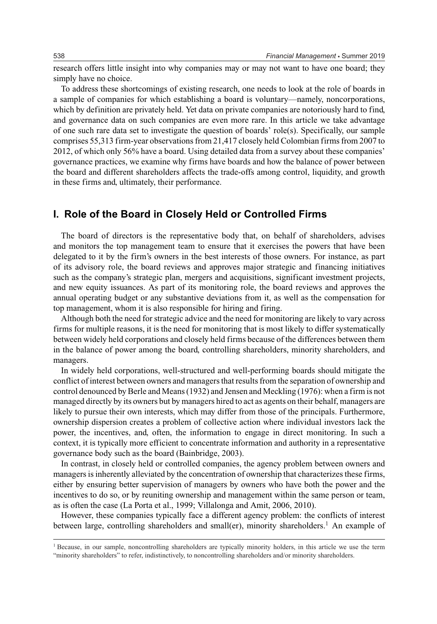research offers little insight into why companies may or may not want to have one board; they simply have no choice.

To address these shortcomings of existing research, one needs to look at the role of boards in a sample of companies for which establishing a board is voluntary—namely, noncorporations, which by definition are privately held. Yet data on private companies are notoriously hard to find, and governance data on such companies are even more rare. In this article we take advantage of one such rare data set to investigate the question of boards' role(s). Specifically, our sample comprises 55,313 firm-year observations from 21,417 closely held Colombian firms from 2007 to 2012, of which only 56% have a board. Using detailed data from a survey about these companies' governance practices, we examine why firms have boards and how the balance of power between the board and different shareholders affects the trade-offs among control, liquidity, and growth in these firms and, ultimately, their performance.

# **I. Role of the Board in Closely Held or Controlled Firms**

The board of directors is the representative body that, on behalf of shareholders, advises and monitors the top management team to ensure that it exercises the powers that have been delegated to it by the firm's owners in the best interests of those owners. For instance, as part of its advisory role, the board reviews and approves major strategic and financing initiatives such as the company's strategic plan, mergers and acquisitions, significant investment projects, and new equity issuances. As part of its monitoring role, the board reviews and approves the annual operating budget or any substantive deviations from it, as well as the compensation for top management, whom it is also responsible for hiring and firing.

Although both the need for strategic advice and the need for monitoring are likely to vary across firms for multiple reasons, it is the need for monitoring that is most likely to differ systematically between widely held corporations and closely held firms because of the differences between them in the balance of power among the board, controlling shareholders, minority shareholders, and managers.

In widely held corporations, well-structured and well-performing boards should mitigate the conflict of interest between owners and managers that results from the separation of ownership and control denounced by Berle and Means (1932) and Jensen and Meckling (1976): when a firm is not managed directly by its owners but by managers hired to act as agents on their behalf, managers are likely to pursue their own interests, which may differ from those of the principals. Furthermore, ownership dispersion creates a problem of collective action where individual investors lack the power, the incentives, and, often, the information to engage in direct monitoring. In such a context, it is typically more efficient to concentrate information and authority in a representative governance body such as the board (Bainbridge, 2003).

In contrast, in closely held or controlled companies, the agency problem between owners and managers is inherently alleviated by the concentration of ownership that characterizes these firms, either by ensuring better supervision of managers by owners who have both the power and the incentives to do so, or by reuniting ownership and management within the same person or team, as is often the case (La Porta et al., 1999; Villalonga and Amit, 2006, 2010).

However, these companies typically face a different agency problem: the conflicts of interest between large, controlling shareholders and small(er), minority shareholders.<sup>1</sup> An example of

<sup>&</sup>lt;sup>1</sup> Because, in our sample, noncontrolling shareholders are typically minority holders, in this article we use the term "minority shareholders" to refer, indistinctively, to noncontrolling shareholders and/or minority shareholders.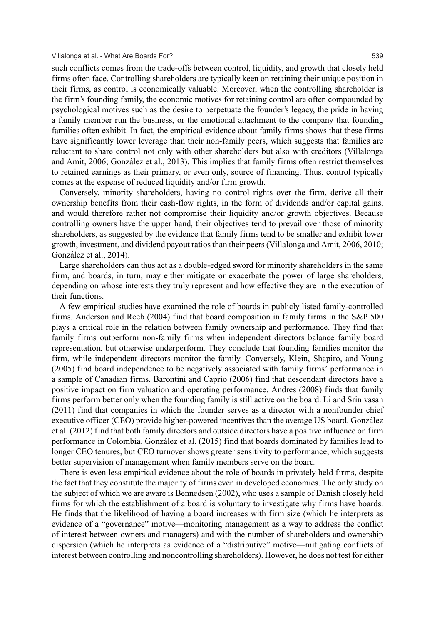such conflicts comes from the trade-offs between control, liquidity, and growth that closely held firms often face. Controlling shareholders are typically keen on retaining their unique position in their firms, as control is economically valuable. Moreover, when the controlling shareholder is the firm's founding family, the economic motives for retaining control are often compounded by psychological motives such as the desire to perpetuate the founder's legacy, the pride in having a family member run the business, or the emotional attachment to the company that founding families often exhibit. In fact, the empirical evidence about family firms shows that these firms have significantly lower leverage than their non-family peers, which suggests that families are reluctant to share control not only with other shareholders but also with creditors (Villalonga and Amit, 2006; Gonzalez et al., 2013). This implies that family firms often restrict themselves ´ to retained earnings as their primary, or even only, source of financing. Thus, control typically comes at the expense of reduced liquidity and/or firm growth.

Conversely, minority shareholders, having no control rights over the firm, derive all their ownership benefits from their cash-flow rights, in the form of dividends and/or capital gains, and would therefore rather not compromise their liquidity and/or growth objectives. Because controlling owners have the upper hand, their objectives tend to prevail over those of minority shareholders, as suggested by the evidence that family firms tend to be smaller and exhibit lower growth, investment, and dividend payout ratios than their peers (Villalonga and Amit, 2006, 2010; González et al., 2014).

Large shareholders can thus act as a double-edged sword for minority shareholders in the same firm, and boards, in turn, may either mitigate or exacerbate the power of large shareholders, depending on whose interests they truly represent and how effective they are in the execution of their functions.

A few empirical studies have examined the role of boards in publicly listed family-controlled firms. Anderson and Reeb (2004) find that board composition in family firms in the S&P 500 plays a critical role in the relation between family ownership and performance. They find that family firms outperform non-family firms when independent directors balance family board representation, but otherwise underperform. They conclude that founding families monitor the firm, while independent directors monitor the family. Conversely, Klein, Shapiro, and Young (2005) find board independence to be negatively associated with family firms' performance in a sample of Canadian firms. Barontini and Caprio (2006) find that descendant directors have a positive impact on firm valuation and operating performance. Andres (2008) finds that family firms perform better only when the founding family is still active on the board. Li and Srinivasan (2011) find that companies in which the founder serves as a director with a nonfounder chief executive officer (CEO) provide higher-powered incentives than the average US board. González et al. (2012) find that both family directors and outside directors have a positive influence on firm performance in Colombia. Gonzalez et al. (2015) find that boards dominated by families lead to ´ longer CEO tenures, but CEO turnover shows greater sensitivity to performance, which suggests better supervision of management when family members serve on the board.

There is even less empirical evidence about the role of boards in privately held firms, despite the fact that they constitute the majority of firms even in developed economies. The only study on the subject of which we are aware is Bennedsen (2002), who uses a sample of Danish closely held firms for which the establishment of a board is voluntary to investigate why firms have boards. He finds that the likelihood of having a board increases with firm size (which he interprets as evidence of a "governance" motive—monitoring management as a way to address the conflict of interest between owners and managers) and with the number of shareholders and ownership dispersion (which he interprets as evidence of a "distributive" motive—mitigating conflicts of interest between controlling and noncontrolling shareholders). However, he does not test for either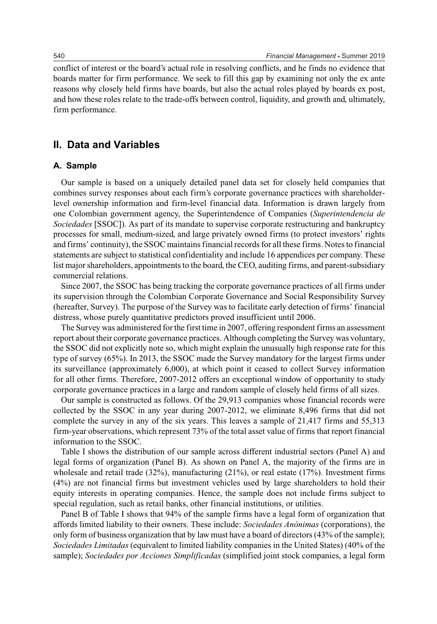conflict of interest or the board's actual role in resolving conflicts, and he finds no evidence that boards matter for firm performance. We seek to fill this gap by examining not only the ex ante reasons why closely held firms have boards, but also the actual roles played by boards ex post, and how these roles relate to the trade-offs between control, liquidity, and growth and, ultimately, firm performance.

# **II. Data and Variables**

#### **A. Sample**

Our sample is based on a uniquely detailed panel data set for closely held companies that combines survey responses about each firm's corporate governance practices with shareholderlevel ownership information and firm-level financial data. Information is drawn largely from one Colombian government agency, the Superintendence of Companies (*Superintendencia de Sociedades* [SSOC]). As part of its mandate to supervise corporate restructuring and bankruptcy processes for small, medium-sized, and large privately owned firms (to protect investors' rights and firms' continuity), the SSOC maintains financial records for all these firms. Notes to financial statements are subject to statistical confidentiality and include 16 appendices per company. These list major shareholders, appointments to the board, the CEO, auditing firms, and parent-subsidiary commercial relations.

Since 2007, the SSOC has being tracking the corporate governance practices of all firms under its supervision through the Colombian Corporate Governance and Social Responsibility Survey (hereafter, Survey). The purpose of the Survey was to facilitate early detection of firms' financial distress, whose purely quantitative predictors proved insufficient until 2006.

The Survey was administered for the first time in 2007, offering respondent firms an assessment report about their corporate governance practices. Although completing the Survey was voluntary, the SSOC did not explicitly note so, which might explain the unusually high response rate for this type of survey (65%). In 2013, the SSOC made the Survey mandatory for the largest firms under its surveillance (approximately 6,000), at which point it ceased to collect Survey information for all other firms. Therefore, 2007-2012 offers an exceptional window of opportunity to study corporate governance practices in a large and random sample of closely held firms of all sizes.

Our sample is constructed as follows. Of the 29,913 companies whose financial records were collected by the SSOC in any year during 2007-2012, we eliminate 8,496 firms that did not complete the survey in any of the six years. This leaves a sample of 21,417 firms and 55,313 firm-year observations, which represent 73% of the total asset value of firms that report financial information to the SSOC.

Table I shows the distribution of our sample across different industrial sectors (Panel A) and legal forms of organization (Panel B). As shown on Panel A, the majority of the firms are in wholesale and retail trade  $(32\%)$ , manufacturing  $(21\%)$ , or real estate  $(17\%)$ . Investment firms (4%) are not financial firms but investment vehicles used by large shareholders to hold their equity interests in operating companies. Hence, the sample does not include firms subject to special regulation, such as retail banks, other financial institutions, or utilities.

Panel B of Table I shows that 94% of the sample firms have a legal form of organization that affords limited liability to their owners. These include: *Sociedades Anonimas ´* (corporations), the only form of business organization that by law must have a board of directors (43% of the sample); *Sociedades Limitadas* (equivalent to limited liability companies in the United States) (40% of the sample); *Sociedades por Acciones Simplificadas* (simplified joint stock companies, a legal form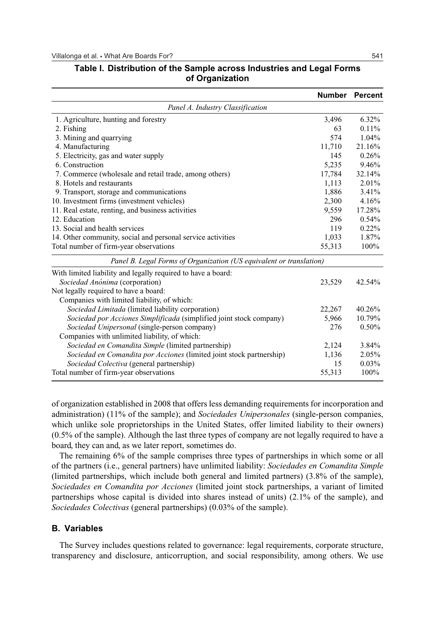|                                                                      |        | Number Percent |
|----------------------------------------------------------------------|--------|----------------|
| Panel A. Industry Classification                                     |        |                |
| 1. Agriculture, hunting and forestry                                 | 3,496  | $6.32\%$       |
| 2. Fishing                                                           | 63     | 0.11%          |
| 3. Mining and quarrying                                              | 574    | 1.04%          |
| 4. Manufacturing                                                     | 11,710 | 21.16%         |
| 5. Electricity, gas and water supply                                 | 145    | 0.26%          |
| 6. Construction                                                      | 5,235  | 9.46%          |
| 7. Commerce (wholesale and retail trade, among others)               | 17,784 | 32.14%         |
| 8. Hotels and restaurants                                            | 1,113  | 2.01%          |
| 9. Transport, storage and communications                             | 1,886  | 3.41%          |
| 10. Investment firms (investment vehicles)                           | 2,300  | 4.16%          |
| 11. Real estate, renting, and business activities                    | 9,559  | 17.28%         |
| 12. Education                                                        | 296    | 0.54%          |
| 13. Social and health services                                       | 119    | 0.22%          |
| 14. Other community, social and personal service activities          | 1,033  | 1.87%          |
| Total number of firm-year observations                               | 55,313 | 100%           |
| Panel B. Legal Forms of Organization (US equivalent or translation)  |        |                |
| With limited liability and legally required to have a board:         |        |                |
| Sociedad Anónima (corporation)                                       | 23,529 | 42.54%         |
| Not legally required to have a board:                                |        |                |
| Companies with limited liability, of which:                          |        |                |
| Sociedad Limitada (limited liability corporation)                    | 22,267 | 40.26%         |
| Sociedad por Acciones Simplificada (simplified joint stock company)  | 5,966  | 10.79%         |
| Sociedad Unipersonal (single-person company)                         | 276    | 0.50%          |
| Companies with unlimited liability, of which:                        |        |                |
| Sociedad en Comandita Simple (limited partnership)                   | 2,124  | 3.84%          |
| Sociedad en Comandita por Acciones (limited joint stock partnership) | 1,136  | 2.05%          |
| Sociedad Colectiva (general partnership)                             | 15     | 0.03%          |
| Total number of firm-year observations                               | 55,313 | 100%           |

# **Table I. Distribution of the Sample across Industries and Legal Forms of Organization**

of organization established in 2008 that offers less demanding requirements for incorporation and administration) (11% of the sample); and *Sociedades Unipersonales* (single-person companies, which unlike sole proprietorships in the United States, offer limited liability to their owners) (0.5% of the sample). Although the last three types of company are not legally required to have a board, they can and, as we later report, sometimes do.

The remaining 6% of the sample comprises three types of partnerships in which some or all of the partners (i.e., general partners) have unlimited liability: *Sociedades en Comandita Simple* (limited partnerships, which include both general and limited partners) (3.8% of the sample), *Sociedades en Comandita por Acciones* (limited joint stock partnerships, a variant of limited partnerships whose capital is divided into shares instead of units) (2.1% of the sample), and *Sociedades Colectivas* (general partnerships) (0.03% of the sample).

#### **B. Variables**

The Survey includes questions related to governance: legal requirements, corporate structure, transparency and disclosure, anticorruption, and social responsibility, among others. We use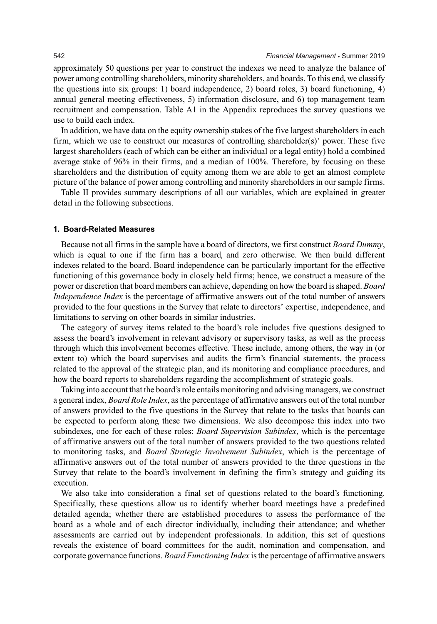approximately 50 questions per year to construct the indexes we need to analyze the balance of power among controlling shareholders, minority shareholders, and boards. To this end, we classify the questions into six groups: 1) board independence, 2) board roles, 3) board functioning, 4) annual general meeting effectiveness, 5) information disclosure, and 6) top management team recruitment and compensation. Table A1 in the Appendix reproduces the survey questions we use to build each index.

In addition, we have data on the equity ownership stakes of the five largest shareholders in each firm, which we use to construct our measures of controlling shareholder(s)' power. These five largest shareholders (each of which can be either an individual or a legal entity) hold a combined average stake of 96% in their firms, and a median of 100%. Therefore, by focusing on these shareholders and the distribution of equity among them we are able to get an almost complete picture of the balance of power among controlling and minority shareholders in our sample firms.

Table II provides summary descriptions of all our variables, which are explained in greater detail in the following subsections.

#### **1. Board-Related Measures**

Because not all firms in the sample have a board of directors, we first construct *Board Dummy*, which is equal to one if the firm has a board, and zero otherwise. We then build different indexes related to the board. Board independence can be particularly important for the effective functioning of this governance body in closely held firms; hence, we construct a measure of the power or discretion that board members can achieve, depending on how the board is shaped. *Board Independence Index* is the percentage of affirmative answers out of the total number of answers provided to the four questions in the Survey that relate to directors' expertise, independence, and limitations to serving on other boards in similar industries.

The category of survey items related to the board's role includes five questions designed to assess the board's involvement in relevant advisory or supervisory tasks, as well as the process through which this involvement becomes effective. These include, among others, the way in (or extent to) which the board supervises and audits the firm's financial statements, the process related to the approval of the strategic plan, and its monitoring and compliance procedures, and how the board reports to shareholders regarding the accomplishment of strategic goals.

Taking into account that the board's role entails monitoring and advising managers, we construct a general index, *Board Role Index*, as the percentage of affirmative answers out of the total number of answers provided to the five questions in the Survey that relate to the tasks that boards can be expected to perform along these two dimensions. We also decompose this index into two subindexes, one for each of these roles: *Board Supervision Subindex*, which is the percentage of affirmative answers out of the total number of answers provided to the two questions related to monitoring tasks, and *Board Strategic Involvement Subindex*, which is the percentage of affirmative answers out of the total number of answers provided to the three questions in the Survey that relate to the board's involvement in defining the firm's strategy and guiding its execution.

We also take into consideration a final set of questions related to the board's functioning. Specifically, these questions allow us to identify whether board meetings have a predefined detailed agenda; whether there are established procedures to assess the performance of the board as a whole and of each director individually, including their attendance; and whether assessments are carried out by independent professionals. In addition, this set of questions reveals the existence of board committees for the audit, nomination and compensation, and corporate governance functions. *Board Functioning Index* is the percentage of affirmative answers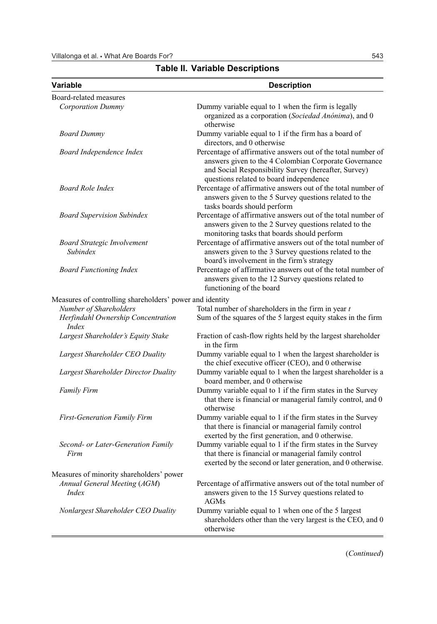| Variable                                                                     | <b>Description</b>                                                                                                                                                                                                       |
|------------------------------------------------------------------------------|--------------------------------------------------------------------------------------------------------------------------------------------------------------------------------------------------------------------------|
| Board-related measures                                                       |                                                                                                                                                                                                                          |
| <b>Corporation Dummy</b>                                                     | Dummy variable equal to 1 when the firm is legally<br>organized as a corporation (Sociedad Anónima), and 0<br>otherwise                                                                                                  |
| <b>Board Dummy</b>                                                           | Dummy variable equal to 1 if the firm has a board of<br>directors, and 0 otherwise                                                                                                                                       |
| Board Independence Index                                                     | Percentage of affirmative answers out of the total number of<br>answers given to the 4 Colombian Corporate Governance<br>and Social Responsibility Survey (hereafter, Survey)<br>questions related to board independence |
| <b>Board Role Index</b>                                                      | Percentage of affirmative answers out of the total number of<br>answers given to the 5 Survey questions related to the<br>tasks boards should perform                                                                    |
| <b>Board Supervision Subindex</b>                                            | Percentage of affirmative answers out of the total number of<br>answers given to the 2 Survey questions related to the<br>monitoring tasks that boards should perform                                                    |
| <b>Board Strategic Involvement</b><br>Subindex                               | Percentage of affirmative answers out of the total number of<br>answers given to the 3 Survey questions related to the<br>board's involvement in the firm's strategy                                                     |
| <b>Board Functioning Index</b>                                               | Percentage of affirmative answers out of the total number of<br>answers given to the 12 Survey questions related to<br>functioning of the board                                                                          |
| Measures of controlling shareholders' power and identity                     |                                                                                                                                                                                                                          |
| Number of Shareholders<br>Herfindahl Ownership Concentration<br><i>Index</i> | Total number of shareholders in the firm in year $t$<br>Sum of the squares of the 5 largest equity stakes in the firm                                                                                                    |
| Largest Shareholder's Equity Stake                                           | Fraction of cash-flow rights held by the largest shareholder<br>in the firm                                                                                                                                              |
| Largest Shareholder CEO Duality                                              | Dummy variable equal to 1 when the largest shareholder is<br>the chief executive officer (CEO), and 0 otherwise                                                                                                          |
| Largest Shareholder Director Duality                                         | Dummy variable equal to 1 when the largest shareholder is a<br>board member, and 0 otherwise                                                                                                                             |
| <b>Family Firm</b>                                                           | Dummy variable equal to 1 if the firm states in the Survey<br>that there is financial or managerial family control, and 0<br>otherwise                                                                                   |
| <b>First-Generation Family Firm</b>                                          | Dummy variable equal to 1 if the firm states in the Survey<br>that there is financial or managerial family control<br>exerted by the first generation, and 0 otherwise.                                                  |
| Second- or Later-Generation Family<br>Firm                                   | Dummy variable equal to 1 if the firm states in the Survey<br>that there is financial or managerial family control<br>exerted by the second or later generation, and 0 otherwise.                                        |
| Measures of minority shareholders' power                                     |                                                                                                                                                                                                                          |
| Annual General Meeting (AGM)<br><i>Index</i>                                 | Percentage of affirmative answers out of the total number of<br>answers given to the 15 Survey questions related to<br><b>AGMs</b>                                                                                       |
| Nonlargest Shareholder CEO Duality                                           | Dummy variable equal to 1 when one of the 5 largest<br>shareholders other than the very largest is the CEO, and 0<br>otherwise                                                                                           |

**Table II. Variable Descriptions**

(*Continued*)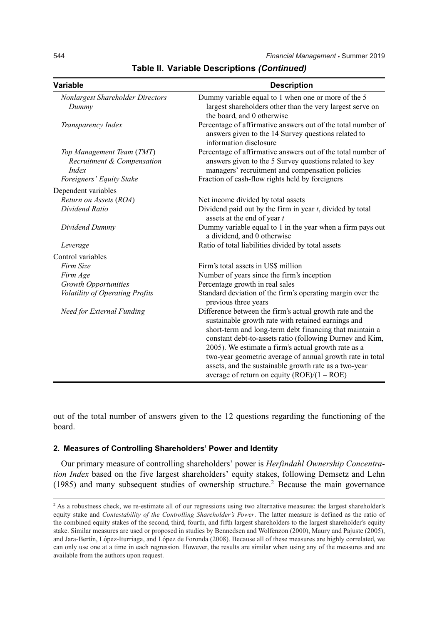| <b>Variable</b>                                                  | <b>Description</b>                                                                                                                                                                                                                                                                                                                                                                                                                                                  |
|------------------------------------------------------------------|---------------------------------------------------------------------------------------------------------------------------------------------------------------------------------------------------------------------------------------------------------------------------------------------------------------------------------------------------------------------------------------------------------------------------------------------------------------------|
| Nonlargest Shareholder Directors<br>Dummy                        | Dummy variable equal to 1 when one or more of the 5<br>largest shareholders other than the very largest serve on<br>the board, and 0 otherwise                                                                                                                                                                                                                                                                                                                      |
| Transparency Index                                               | Percentage of affirmative answers out of the total number of<br>answers given to the 14 Survey questions related to<br>information disclosure                                                                                                                                                                                                                                                                                                                       |
| Top Management Team (TMT)<br>Recruitment & Compensation<br>Index | Percentage of affirmative answers out of the total number of<br>answers given to the 5 Survey questions related to key<br>managers' recruitment and compensation policies                                                                                                                                                                                                                                                                                           |
| Foreigners' Equity Stake                                         | Fraction of cash-flow rights held by foreigners                                                                                                                                                                                                                                                                                                                                                                                                                     |
| Dependent variables                                              |                                                                                                                                                                                                                                                                                                                                                                                                                                                                     |
| Return on Assets (ROA)                                           | Net income divided by total assets                                                                                                                                                                                                                                                                                                                                                                                                                                  |
| Dividend Ratio                                                   | Dividend paid out by the firm in year $t$ , divided by total<br>assets at the end of year t                                                                                                                                                                                                                                                                                                                                                                         |
| Dividend Dummy                                                   | Dummy variable equal to 1 in the year when a firm pays out<br>a dividend, and 0 otherwise                                                                                                                                                                                                                                                                                                                                                                           |
| Leverage                                                         | Ratio of total liabilities divided by total assets                                                                                                                                                                                                                                                                                                                                                                                                                  |
| Control variables                                                |                                                                                                                                                                                                                                                                                                                                                                                                                                                                     |
| Firm Size                                                        | Firm's total assets in US\$ million                                                                                                                                                                                                                                                                                                                                                                                                                                 |
| Firm Age                                                         | Number of years since the firm's inception                                                                                                                                                                                                                                                                                                                                                                                                                          |
| <b>Growth Opportunities</b>                                      | Percentage growth in real sales                                                                                                                                                                                                                                                                                                                                                                                                                                     |
| Volatility of Operating Profits                                  | Standard deviation of the firm's operating margin over the<br>previous three years                                                                                                                                                                                                                                                                                                                                                                                  |
| <b>Need for External Funding</b>                                 | Difference between the firm's actual growth rate and the<br>sustainable growth rate with retained earnings and<br>short-term and long-term debt financing that maintain a<br>constant debt-to-assets ratio (following Durney and Kim,<br>2005). We estimate a firm's actual growth rate as a<br>two-year geometric average of annual growth rate in total<br>assets, and the sustainable growth rate as a two-year<br>average of return on equity $(ROE)/(1 - ROE)$ |

# **Table II. Variable Descriptions** *(Continued)*

out of the total number of answers given to the 12 questions regarding the functioning of the board.

#### **2. Measures of Controlling Shareholders' Power and Identity**

Our primary measure of controlling shareholders' power is *Herfindahl Ownership Concentration Index* based on the five largest shareholders' equity stakes, following Demsetz and Lehn (1985) and many subsequent studies of ownership structure.<sup>2</sup> Because the main governance

<sup>&</sup>lt;sup>2</sup> As a robustness check, we re-estimate all of our regressions using two alternative measures: the largest shareholder's equity stake and *Contestability of the Controlling Shareholder's Power*. The latter measure is defined as the ratio of the combined equity stakes of the second, third, fourth, and fifth largest shareholders to the largest shareholder's equity stake. Similar measures are used or proposed in studies by Bennedsen and Wolfenzon (2000), Maury and Pajuste (2005), and Jara-Bertín, López-Iturriaga, and López de Foronda (2008). Because all of these measures are highly correlated, we can only use one at a time in each regression. However, the results are similar when using any of the measures and are available from the authors upon request.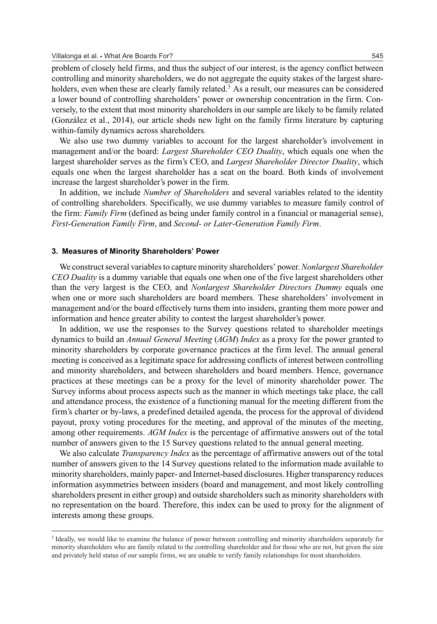problem of closely held firms, and thus the subject of our interest, is the agency conflict between controlling and minority shareholders, we do not aggregate the equity stakes of the largest shareholders, even when these are clearly family related.<sup>3</sup> As a result, our measures can be considered a lower bound of controlling shareholders' power or ownership concentration in the firm. Conversely, to the extent that most minority shareholders in our sample are likely to be family related (Gonzalez et al., 2014), our article sheds new light on the family firms literature by capturing ´ within-family dynamics across shareholders.

We also use two dummy variables to account for the largest shareholder's involvement in management and/or the board: *Largest Shareholder CEO Duality*, which equals one when the largest shareholder serves as the firm's CEO, and *Largest Shareholder Director Duality*, which equals one when the largest shareholder has a seat on the board. Both kinds of involvement increase the largest shareholder's power in the firm.

In addition, we include *Number of Shareholders* and several variables related to the identity of controlling shareholders. Specifically, we use dummy variables to measure family control of the firm: *Family Firm* (defined as being under family control in a financial or managerial sense), *First-Generation Family Firm*, and *Second- or Later-Generation Family Firm*.

#### **3. Measures of Minority Shareholders' Power**

We construct several variables to capture minority shareholders' power. *Nonlargest Shareholder CEO Duality* is a dummy variable that equals one when one of the five largest shareholders other than the very largest is the CEO, and *Nonlargest Shareholder Directors Dummy* equals one when one or more such shareholders are board members. These shareholders' involvement in management and/or the board effectively turns them into insiders, granting them more power and information and hence greater ability to contest the largest shareholder's power.

In addition, we use the responses to the Survey questions related to shareholder meetings dynamics to build an *Annual General Meeting* (*AGM*) *Index* as a proxy for the power granted to minority shareholders by corporate governance practices at the firm level. The annual general meeting is conceived as a legitimate space for addressing conflicts of interest between controlling and minority shareholders, and between shareholders and board members. Hence, governance practices at these meetings can be a proxy for the level of minority shareholder power. The Survey informs about process aspects such as the manner in which meetings take place, the call and attendance process, the existence of a functioning manual for the meeting different from the firm's charter or by-laws, a predefined detailed agenda, the process for the approval of dividend payout, proxy voting procedures for the meeting, and approval of the minutes of the meeting, among other requirements. *AGM Index* is the percentage of affirmative answers out of the total number of answers given to the 15 Survey questions related to the annual general meeting.

We also calculate *Transparency Index* as the percentage of affirmative answers out of the total number of answers given to the 14 Survey questions related to the information made available to minority shareholders, mainly paper- and Internet-based disclosures. Higher transparency reduces information asymmetries between insiders (board and management, and most likely controlling shareholders present in either group) and outside shareholders such as minority shareholders with no representation on the board. Therefore, this index can be used to proxy for the alignment of interests among these groups.

<sup>&</sup>lt;sup>3</sup> Ideally, we would like to examine the balance of power between controlling and minority shareholders separately for minority shareholders who are family related to the controlling shareholder and for those who are not, but given the size and privately held status of our sample firms, we are unable to verify family relationships for most shareholders.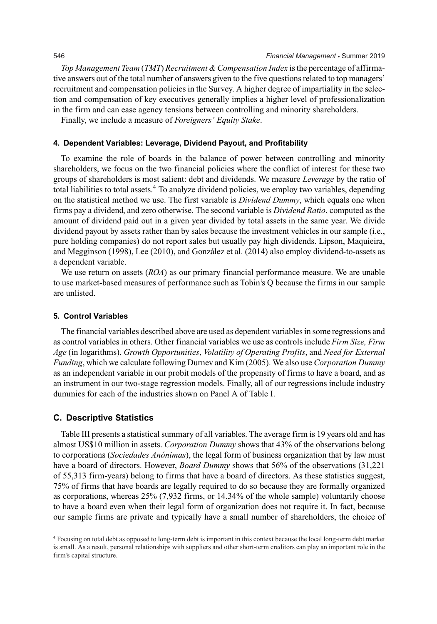*Top Management Team* (*TMT*) *Recruitment & Compensation Index* is the percentage of affirmative answers out of the total number of answers given to the five questions related to top managers' recruitment and compensation policies in the Survey. A higher degree of impartiality in the selection and compensation of key executives generally implies a higher level of professionalization in the firm and can ease agency tensions between controlling and minority shareholders.

Finally, we include a measure of *Foreigners' Equity Stake*.

#### **4. Dependent Variables: Leverage, Dividend Payout, and Profitability**

To examine the role of boards in the balance of power between controlling and minority shareholders, we focus on the two financial policies where the conflict of interest for these two groups of shareholders is most salient: debt and dividends. We measure *Leverage* by the ratio of total liabilities to total assets.<sup>4</sup> To analyze dividend policies, we employ two variables, depending on the statistical method we use. The first variable is *Dividend Dummy*, which equals one when firms pay a dividend, and zero otherwise. The second variable is *Dividend Ratio*, computed as the amount of dividend paid out in a given year divided by total assets in the same year. We divide dividend payout by assets rather than by sales because the investment vehicles in our sample (i.e., pure holding companies) do not report sales but usually pay high dividends. Lipson, Maquieira, and Megginson (1998), Lee (2010), and Gonzalez et al. (2014) also employ dividend-to-assets as ´ a dependent variable.

We use return on assets (*ROA*) as our primary financial performance measure. We are unable to use market-based measures of performance such as Tobin's Q because the firms in our sample are unlisted.

#### **5. Control Variables**

The financial variables described above are used as dependent variables in some regressions and as control variables in others. Other financial variables we use as controls include *Firm Size, Firm Age* (in logarithms), *Growth Opportunities*, *Volatility of Operating Profits*, and *Need for External Funding*, which we calculate following Durnev and Kim (2005). We also use *Corporation Dummy* as an independent variable in our probit models of the propensity of firms to have a board, and as an instrument in our two-stage regression models. Finally, all of our regressions include industry dummies for each of the industries shown on Panel A of Table I.

### **C. Descriptive Statistics**

Table III presents a statistical summary of all variables. The average firm is 19 years old and has almost US\$10 million in assets. *Corporation Dummy* shows that 43% of the observations belong to corporations (*Sociedades Anonimas ´* ), the legal form of business organization that by law must have a board of directors. However, *Board Dummy* shows that 56% of the observations (31,221 of 55,313 firm-years) belong to firms that have a board of directors. As these statistics suggest, 75% of firms that have boards are legally required to do so because they are formally organized as corporations, whereas 25% (7,932 firms, or 14.34% of the whole sample) voluntarily choose to have a board even when their legal form of organization does not require it. In fact, because our sample firms are private and typically have a small number of shareholders, the choice of

<sup>4</sup> Focusing on total debt as opposed to long-term debt is important in this context because the local long-term debt market is small. As a result, personal relationships with suppliers and other short-term creditors can play an important role in the firm's capital structure.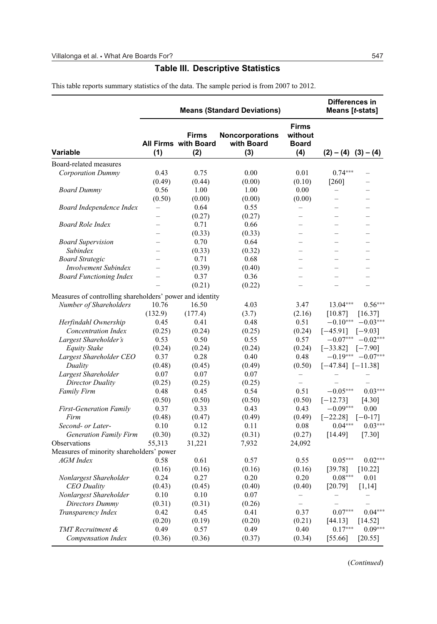# **Table III. Descriptive Statistics**

This table reports summary statistics of the data. The sample period is from 2007 to 2012.

|                                                          |                          |                                             | <b>Means (Standard Deviations)</b>          |                                                | Differences in<br>Means [t-stats] |                          |
|----------------------------------------------------------|--------------------------|---------------------------------------------|---------------------------------------------|------------------------------------------------|-----------------------------------|--------------------------|
| <b>Variable</b>                                          | (1)                      | Firms<br><b>All Firms with Board</b><br>(2) | <b>Noncorporations</b><br>with Board<br>(3) | <b>Firms</b><br>without<br><b>Board</b><br>(4) | $(2) - (4) (3) - (4)$             |                          |
| Board-related measures                                   |                          |                                             |                                             |                                                |                                   |                          |
| <b>Corporation Dummy</b>                                 | 0.43                     | 0.75                                        | 0.00                                        | 0.01                                           | $0.74***$                         |                          |
|                                                          | (0.49)                   | (0.44)                                      | (0.00)                                      | (0.10)                                         | $[260]$                           |                          |
| <b>Board Dummy</b>                                       | 0.56                     | 1.00                                        | 1.00                                        | 0.00                                           |                                   |                          |
|                                                          | (0.50)                   | (0.00)                                      | (0.00)                                      | (0.00)                                         | $\equiv$                          | $\overline{\phantom{0}}$ |
| Board Independence Index                                 |                          | 0.64                                        | 0.55                                        |                                                |                                   |                          |
|                                                          | $\overline{\phantom{0}}$ | (0.27)                                      | (0.27)                                      |                                                |                                   |                          |
| <b>Board Role Index</b>                                  |                          | 0.71                                        | 0.66                                        |                                                |                                   |                          |
|                                                          | L.                       | (0.33)                                      | (0.33)                                      |                                                | L.                                |                          |
| <b>Board Supervision</b>                                 | $\equiv$                 | 0.70                                        | 0.64                                        | $\equiv$                                       | $\equiv$                          | $=$                      |
| Subindex                                                 |                          | (0.33)                                      | (0.32)                                      |                                                |                                   |                          |
| <b>Board Strategic</b>                                   | $\overline{\phantom{0}}$ | 0.71                                        | 0.68                                        | $\overline{\phantom{0}}$                       | $\equiv$                          | $\overline{\phantom{0}}$ |
| <b>Involvement Subindex</b>                              | $\equiv$                 | (0.39)                                      | (0.40)                                      | $\overline{\phantom{0}}$                       | $\overline{\phantom{0}}$          | $\equiv$                 |
| <b>Board Functioning Index</b>                           |                          | 0.37                                        | 0.36                                        |                                                |                                   |                          |
|                                                          |                          | (0.21)                                      | (0.22)                                      |                                                |                                   |                          |
|                                                          |                          |                                             |                                             |                                                |                                   |                          |
| Measures of controlling shareholders' power and identity |                          |                                             |                                             |                                                |                                   |                          |
| Number of Shareholders                                   | 10.76                    | 16.50                                       | 4.03                                        | 3.47                                           | 13.04***                          | $0.56***$                |
|                                                          | (132.9)                  | (177.4)                                     | (3.7)                                       | (2.16)                                         | [10.87]                           | [16.37]                  |
| Herfindahl Ownership                                     | 0.45                     | 0.41                                        | 0.48                                        | 0.51                                           | $-0.10***$                        | $-0.03**$                |
| Concentration Index                                      | (0.25)                   | (0.24)                                      | (0.25)                                      | (0.24)                                         | $[-45.91]$                        | $[-9.03]$                |
| Largest Shareholder's                                    | 0.53                     | 0.50                                        | 0.55                                        | 0.57                                           |                                   | $-0.07***$ $-0.02**$     |
| Equity Stake                                             | (0.24)                   | (0.24)                                      | (0.24)                                      | (0.24)                                         | $[-33.82]$                        | $[-7.90]$                |
| Largest Shareholder CEO                                  | 0.37                     | 0.28                                        | 0.40                                        | 0.48                                           |                                   | $-0.19***$ $-0.07***$    |
| Duality                                                  | (0.48)                   | (0.45)                                      | (0.49)                                      | (0.50)                                         | $[-47.84] [-11.38]$               |                          |
| Largest Shareholder                                      | 0.07                     | 0.07                                        | 0.07                                        | $\overline{\phantom{0}}$                       |                                   |                          |
| Director Duality                                         | (0.25)                   | (0.25)                                      | (0.25)                                      | $\equiv$                                       |                                   |                          |
| <b>Family Firm</b>                                       | 0.48                     | 0.45                                        | 0.54                                        | 0.51                                           | $-0.05***$                        | $0.03***$                |
|                                                          | (0.50)                   | (0.50)                                      | (0.50)                                      | (0.50)                                         | $[-12.73]$                        | [4.30]                   |
| <b>First-Generation Family</b>                           | 0.37                     | 0.33                                        | 0.43                                        | 0.43                                           | $-0.09***$                        | 0.00                     |
| Firm                                                     | (0.48)                   | (0.47)                                      | (0.49)                                      | (0.49)                                         | $[-22.28]$                        | $[-0-17]$                |
| Second- or Later-                                        | 0.10                     | 0.12                                        | 0.11                                        | 0.08                                           | $0.04***$                         | $0.03***$                |
| <b>Generation Family Firm</b>                            | (0.30)                   | (0.32)                                      | (0.31)                                      | (0.27)                                         | [14.49]                           | $[7.30]$                 |
| <b>Observations</b>                                      | 55,313                   | 31,221                                      | 7,932                                       | 24,092                                         |                                   |                          |
| Measures of minority shareholders' power                 |                          |                                             |                                             |                                                |                                   |                          |
| <b>AGM</b> Index                                         | 0.58                     | 0.61                                        | 0.57                                        | 0.55                                           | $0.05***$                         | $0.02***$                |
|                                                          | (0.16)                   | (0.16)                                      | (0.16)                                      | (0.16)                                         | [39.78]                           | [10.22]                  |
| Nonlargest Shareholder                                   | 0.24                     | 0.27                                        | 0.20                                        | 0.20                                           | $0.08***$                         | 0.01                     |
| <b>CEO</b> Duality                                       | (0.43)                   | (0.45)                                      | (0.40)                                      | (0.40)                                         | [20.79]                           | [1, 14]                  |
| Nonlargest Shareholder                                   | 0.10                     | 0.10                                        | 0.07                                        |                                                |                                   |                          |
| Directors Dummy                                          | (0.31)                   | (0.31)                                      | (0.26)                                      |                                                |                                   |                          |
| Transparency Index                                       | 0.42                     | 0.45                                        | 0.41                                        | 0.37                                           | $0.07***$                         | $0.04***$                |
|                                                          | (0.20)                   | (0.19)                                      | (0.20)                                      | (0.21)                                         | [44.13]                           | [14.52]                  |
| TMT Recruitment &                                        | 0.49                     | 0.57                                        | 0.49                                        | 0.40                                           | $0.17***$                         | $0.09***$                |
| <b>Compensation Index</b>                                | (0.36)                   | (0.36)                                      | (0.37)                                      | (0.34)                                         | [55.66]                           | [20.55]                  |

(*Continued*)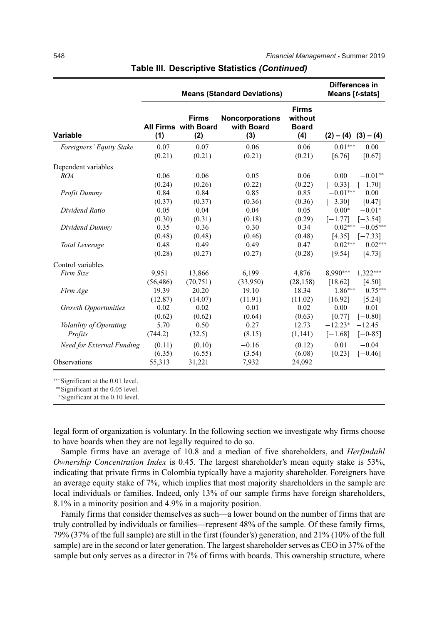|                                  |           |                                                    | <b>Means (Standard Deviations)</b>          |                                                | Differences in<br>Means [t-stats] |
|----------------------------------|-----------|----------------------------------------------------|---------------------------------------------|------------------------------------------------|-----------------------------------|
| <b>Variable</b>                  | (1)       | <b>Firms</b><br><b>All Firms with Board</b><br>(2) | <b>Noncorporations</b><br>with Board<br>(3) | <b>Firms</b><br>without<br><b>Board</b><br>(4) | $(2) - (4) (3) - (4)$             |
| Foreigners' Equity Stake         | 0.07      | 0.07                                               | 0.06                                        | 0.06                                           | $0.01***$<br>0.00                 |
|                                  | (0.21)    | (0.21)                                             | (0.21)                                      | (0.21)                                         | [6.76]<br>[0.67]                  |
| Dependent variables              |           |                                                    |                                             |                                                |                                   |
| <b>ROA</b>                       | 0.06      | 0.06                                               | 0.05                                        | 0.06                                           | 0.00<br>$-0.01**$                 |
|                                  | (0.24)    | (0.26)                                             | (0.22)                                      | (0.22)                                         | $[-0.33]$<br>$[-1.70]$            |
| Profit Dummy                     | 0.84      | 0.84                                               | 0.85                                        | 0.85                                           | $-0.01***$<br>0.00                |
|                                  | (0.37)    | (0.37)                                             | (0.36)                                      | (0.36)                                         | $[-3.30]$<br>[0.47]               |
| Dividend Ratio                   | 0.05      | 0.04                                               | 0.04                                        | 0.05                                           | $-0.01*$<br>$0.00*$               |
|                                  | (0.30)    | (0.31)                                             | (0.18)                                      | (0.29)                                         | $[-1.77]$<br>$[-3.54]$            |
| Dividend Dummy                   | 0.35      | 0.36                                               | 0.30                                        | 0.34                                           | $0.02***$<br>$-0.05***$           |
|                                  | (0.48)    | (0.48)                                             | (0.46)                                      | (0.48)                                         | [4.35]<br>$[-7.33]$               |
| Total Leverage                   | 0.48      | 0.49                                               | 0.49                                        | 0.47                                           | $0.02***$<br>$0.02***$            |
|                                  | (0.28)    | (0.27)                                             | (0.27)                                      | (0.28)                                         | [9.54]<br>[4.73]                  |
| Control variables                |           |                                                    |                                             |                                                |                                   |
| Firm Size                        | 9,951     | 13,866                                             | 6,199                                       | 4,876                                          | 8,990***<br>$1,322***$            |
|                                  | (56, 486) | (70, 751)                                          | (33,950)                                    | (28, 158)                                      | [18.62]<br>[4.50]                 |
| Firm Age                         | 19.39     | 20.20                                              | 19.10                                       | 18.34                                          | $1.86***$<br>$0.75***$            |
|                                  | (12.87)   | (14.07)                                            | (11.91)                                     | (11.02)                                        | [16.92]<br>[5.24]                 |
| <b>Growth Opportunities</b>      | 0.02      | 0.02                                               | 0.01                                        | 0.02                                           | $-0.01$<br>0.00                   |
|                                  | (0.62)    | (0.62)                                             | (0.64)                                      | (0.63)                                         | [0.77]<br>$[-0.80]$               |
| Volatility of Operating          | 5.70      | 0.50                                               | 0.27                                        | 12.73                                          | $-12.23*$<br>$-12.45$             |
| Profits                          | (744.2)   | (32.5)                                             | (8.15)                                      | (1,141)                                        | $[-1.68]$<br>$[-0-85]$            |
| <b>Need for External Funding</b> | (0.11)    | (0.10)                                             | $-0.16$                                     | (0.12)                                         | 0.01<br>$-0.04$                   |
|                                  | (6.35)    | (6.55)                                             | (3.54)                                      | (6.08)                                         | $[-0.46]$<br>[0.23]               |
| <b>Observations</b>              | 55,313    | 31,221                                             | 7,932                                       | 24,092                                         |                                   |

# **Table III. Descriptive Statistics** *(Continued)*

∗∗∗Significant at the 0.01 level.

∗∗Significant at the 0.05 level.

<sup>∗</sup>Significant at the 0.10 level.

legal form of organization is voluntary. In the following section we investigate why firms choose to have boards when they are not legally required to do so.

Sample firms have an average of 10.8 and a median of five shareholders, and *Herfindahl Ownership Concentration Index* is 0.45. The largest shareholder's mean equity stake is 53%, indicating that private firms in Colombia typically have a majority shareholder. Foreigners have an average equity stake of 7%, which implies that most majority shareholders in the sample are local individuals or families. Indeed, only 13% of our sample firms have foreign shareholders, 8.1% in a minority position and 4.9% in a majority position.

Family firms that consider themselves as such—a lower bound on the number of firms that are truly controlled by individuals or families—represent 48% of the sample. Of these family firms, 79% (37% of the full sample) are still in the first (founder's) generation, and 21% (10% of the full sample) are in the second or later generation. The largest shareholder serves as CEO in 37% of the sample but only serves as a director in 7% of firms with boards. This ownership structure, where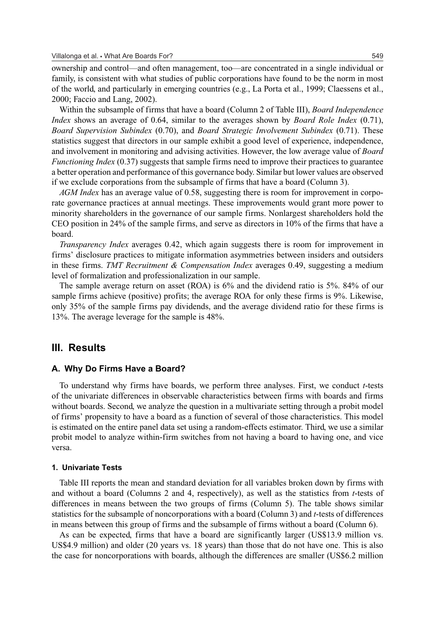ownership and control—and often management, too—are concentrated in a single individual or family, is consistent with what studies of public corporations have found to be the norm in most of the world, and particularly in emerging countries (e.g., La Porta et al., 1999; Claessens et al., 2000; Faccio and Lang, 2002).

Within the subsample of firms that have a board (Column 2 of Table III), *Board Independence Index* shows an average of 0.64, similar to the averages shown by *Board Role Index* (0.71), *Board Supervision Subindex* (0.70), and *Board Strategic Involvement Subindex* (0.71). These statistics suggest that directors in our sample exhibit a good level of experience, independence, and involvement in monitoring and advising activities. However, the low average value of *Board Functioning Index* (0.37) suggests that sample firms need to improve their practices to guarantee a better operation and performance of this governance body. Similar but lower values are observed if we exclude corporations from the subsample of firms that have a board (Column 3).

*AGM Index* has an average value of 0.58, suggesting there is room for improvement in corporate governance practices at annual meetings. These improvements would grant more power to minority shareholders in the governance of our sample firms. Nonlargest shareholders hold the CEO position in 24% of the sample firms, and serve as directors in 10% of the firms that have a board.

*Transparency Index* averages 0.42, which again suggests there is room for improvement in firms' disclosure practices to mitigate information asymmetries between insiders and outsiders in these firms. *TMT Recruitment & Compensation Index* averages 0.49, suggesting a medium level of formalization and professionalization in our sample.

The sample average return on asset (ROA) is 6% and the dividend ratio is 5%. 84% of our sample firms achieve (positive) profits; the average ROA for only these firms is 9%. Likewise, only 35% of the sample firms pay dividends, and the average dividend ratio for these firms is 13%. The average leverage for the sample is 48%.

# **III. Results**

# **A. Why Do Firms Have a Board?**

To understand why firms have boards, we perform three analyses. First, we conduct *t*-tests of the univariate differences in observable characteristics between firms with boards and firms without boards. Second, we analyze the question in a multivariate setting through a probit model of firms' propensity to have a board as a function of several of those characteristics. This model is estimated on the entire panel data set using a random-effects estimator. Third, we use a similar probit model to analyze within-firm switches from not having a board to having one, and vice versa.

#### **1. Univariate Tests**

Table III reports the mean and standard deviation for all variables broken down by firms with and without a board (Columns 2 and 4, respectively), as well as the statistics from *t*-tests of differences in means between the two groups of firms (Column 5). The table shows similar statistics for the subsample of noncorporations with a board (Column 3) and *t*-tests of differences in means between this group of firms and the subsample of firms without a board (Column 6).

As can be expected, firms that have a board are significantly larger (US\$13.9 million vs. US\$4.9 million) and older (20 years vs. 18 years) than those that do not have one. This is also the case for noncorporations with boards, although the differences are smaller (US\$6.2 million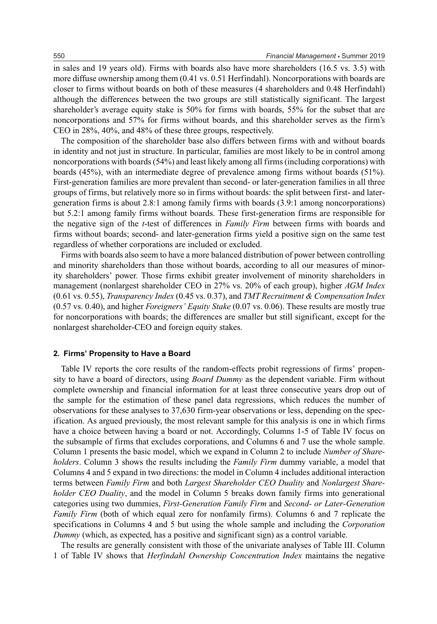in sales and 19 years old). Firms with boards also have more shareholders (16.5 vs. 3.5) with more diffuse ownership among them (0.41 vs. 0.51 Herfindahl). Noncorporations with boards are closer to firms without boards on both of these measures (4 shareholders and 0.48 Herfindahl) although the differences between the two groups are still statistically significant. The largest shareholder's average equity stake is 50% for firms with boards, 55% for the subset that are noncorporations and 57% for firms without boards, and this shareholder serves as the firm's CEO in 28%, 40%, and 48% of these three groups, respectively.

The composition of the shareholder base also differs between firms with and without boards in identity and not just in structure. In particular, families are most likely to be in control among noncorporations with boards (54%) and least likely among all firms (including corporations) with boards (45%), with an intermediate degree of prevalence among firms without boards (51%). First-generation families are more prevalent than second- or later-generation families in all three groups of firms, but relatively more so in firms without boards: the split between first- and latergeneration firms is about 2.8:1 among family firms with boards (3.9:1 among noncorporations) but 5.2:1 among family firms without boards. These first-generation firms are responsible for the negative sign of the *t*-test of differences in *Family Firm* between firms with boards and firms without boards; second- and later-generation firms yield a positive sign on the same test regardless of whether corporations are included or excluded.

Firms with boards also seem to have a more balanced distribution of power between controlling and minority shareholders than those without boards, according to all our measures of minority shareholders' power. Those firms exhibit greater involvement of minority shareholders in management (nonlargest shareholder CEO in 27% vs. 20% of each group), higher *AGM Index* (0.61 vs. 0.55), *Transparency Index* (0.45 vs. 0.37), and *TMT Recruitment & Compensation Index* (0.57 vs. 0.40), and higher *Foreigners' Equity Stake* (0.07 vs. 0.06). These results are mostly true for noncorporations with boards; the differences are smaller but still significant, except for the nonlargest shareholder-CEO and foreign equity stakes.

#### **2. Firms' Propensity to Have a Board**

Table IV reports the core results of the random-effects probit regressions of firms' propensity to have a board of directors, using *Board Dummy* as the dependent variable. Firm without complete ownership and financial information for at least three consecutive years drop out of the sample for the estimation of these panel data regressions, which reduces the number of observations for these analyses to 37,630 firm-year observations or less, depending on the specification. As argued previously, the most relevant sample for this analysis is one in which firms have a choice between having a board or not. Accordingly, Columns 1-5 of Table IV focus on the subsample of firms that excludes corporations, and Columns 6 and 7 use the whole sample. Column 1 presents the basic model, which we expand in Column 2 to include *Number of Shareholders*. Column 3 shows the results including the *Family Firm* dummy variable, a model that Columns 4 and 5 expand in two directions: the model in Column 4 includes additional interaction terms between *Family Firm* and both *Largest Shareholder CEO Duality* and *Nonlargest Shareholder CEO Duality*, and the model in Column 5 breaks down family firms into generational categories using two dummies, *First-Generation Family Firm* and *Second- or Later-Generation Family Firm* (both of which equal zero for nonfamily firms). Columns 6 and 7 replicate the specifications in Columns 4 and 5 but using the whole sample and including the *Corporation Dummy* (which, as expected, has a positive and significant sign) as a control variable.

The results are generally consistent with those of the univariate analyses of Table III. Column 1 of Table IV shows that *Herfindahl Ownership Concentration Index* maintains the negative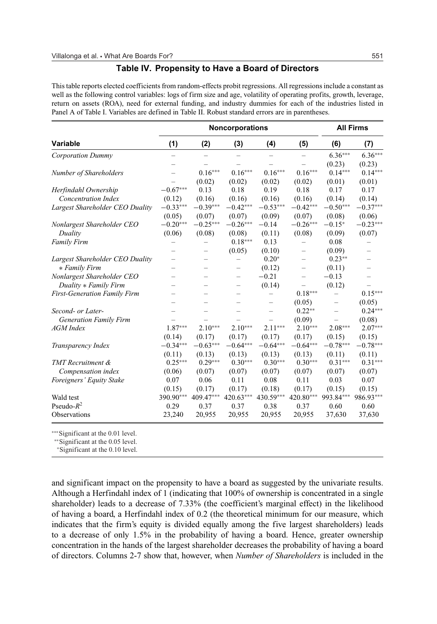#### **Table IV. Propensity to Have a Board of Directors**

This table reports elected coefficients from random-effects probit regressions. All regressions include a constant as well as the following control variables: logs of firm size and age, volatility of operating profits, growth, leverage, return on assets (ROA), need for external funding, and industry dummies for each of the industries listed in Panel A of Table I. Variables are defined in Table II. Robust standard errors are in parentheses.

|                                     |            |                          | Noncorporations |            |                          |            | <b>All Firms</b>         |
|-------------------------------------|------------|--------------------------|-----------------|------------|--------------------------|------------|--------------------------|
| <b>Variable</b>                     | (1)        | (2)                      | (3)             | (4)        | (5)                      | (6)        | (7)                      |
| Corporation Dummy                   |            |                          |                 |            |                          | $6.36***$  | $6.36***$                |
|                                     |            |                          |                 |            |                          | (0.23)     | (0.23)                   |
| Number of Shareholders              |            | $0.16***$                | $0.16***$       | $0.16***$  | $0.16***$                | $0.14***$  | $0.14***$                |
|                                     |            | (0.02)                   | (0.02)          | (0.02)     | (0.02)                   | (0.01)     | (0.01)                   |
| Herfindahl Ownership                | $-0.67***$ | 0.13                     | 0.18            | 0.19       | 0.18                     | 0.17       | 0.17                     |
| <b>Concentration Index</b>          | (0.12)     | (0.16)                   | (0.16)          | (0.16)     | (0.16)                   | (0.14)     | (0.14)                   |
| Largest Shareholder CEO Duality     | $-0.33***$ | $-0.39***$               | $-0.42***$      | $-0.53***$ | $-0.42***$               | $-0.50***$ | $-0.37***$               |
|                                     | (0.05)     | (0.07)                   | (0.07)          | (0.09)     | (0.07)                   | (0.08)     | (0.06)                   |
| Nonlargest Shareholder CEO          | $-0.20***$ | $-0.25***$               | $-0.26***$      | $-0.14$    | $-0.26***$               | $-0.15*$   | $-0.23***$               |
| Duality                             | (0.06)     | (0.08)                   | (0.08)          | (0.11)     | (0.08)                   | (0.09)     | (0.07)                   |
| <b>Family Firm</b>                  |            |                          | $0.18***$       | 0.13       |                          | 0.08       |                          |
|                                     |            | $\overline{\phantom{0}}$ | (0.05)          | (0.10)     | $\overline{\phantom{0}}$ | (0.09)     | $\overline{\phantom{0}}$ |
| Largest Shareholder CEO Duality     |            |                          |                 | $0.20*$    |                          | $0.23**$   |                          |
| * Family Firm                       |            |                          |                 | (0.12)     |                          | (0.11)     | $\qquad \qquad -$        |
| Nonlargest Shareholder CEO          |            |                          |                 | $-0.21$    |                          | $-0.13$    |                          |
| Duality * Family Firm               |            |                          |                 | (0.14)     |                          | (0.12)     | $\qquad \qquad -$        |
| <b>First-Generation Family Firm</b> |            |                          |                 |            | $0.18***$                |            | $0.15***$                |
|                                     |            |                          |                 | -          | (0.05)                   |            | (0.05)                   |
| Second- or Later-                   |            |                          |                 |            | $0.22**$                 |            | $0.24***$                |
| <b>Generation Family Firm</b>       |            |                          |                 |            | (0.09)                   |            | (0.08)                   |
| AGM Index                           | $1.87***$  | $2.10***$                | $2.10***$       | $2.11***$  | $2.10***$                | $2.08***$  | $2.07***$                |
|                                     | (0.14)     | (0.17)                   | (0.17)          | (0.17)     | (0.17)                   | (0.15)     | (0.15)                   |
| Transparency Index                  | $-0.34***$ | $-0.63***$               | $-0.64***$      | $-0.64***$ | $-0.64***$               | $-0.78***$ | $-0.78***$               |
|                                     | (0.11)     | (0.13)                   | (0.13)          | (0.13)     | (0.13)                   | (0.11)     | (0.11)                   |
| <b>TMT</b> Recruitment &            | $0.25***$  | $0.29***$                | $0.30***$       | $0.30***$  | $0.30***$                | $0.31***$  | $0.31***$                |
| Compensation index                  | (0.06)     | (0.07)                   | (0.07)          | (0.07)     | (0.07)                   | (0.07)     | (0.07)                   |
| Foreigners' Equity Stake            | 0.07       | 0.06                     | 0.11            | 0.08       | 0.11                     | 0.03       | 0.07                     |
|                                     | (0.15)     | (0.17)                   | (0.17)          | (0.18)     | (0.17)                   | (0.15)     | (0.15)                   |
| Wald test                           | 390.90***  | 409.47***                | 420.63***       | 430.59***  | 420.80***                | 993.84***  | 986.93***                |
| Pseudo- $R^2$                       | 0.29       | 0.37                     | 0.37            | 0.38       | 0.37                     | 0.60       | 0.60                     |
| Observations                        | 23,240     | 20,955                   | 20,955          | 20,955     | 20,955                   | 37,630     | 37,630                   |

∗∗∗Significant at the 0.01 level.

∗∗Significant at the 0.05 level.

<sup>∗</sup>Significant at the 0.10 level.

and significant impact on the propensity to have a board as suggested by the univariate results. Although a Herfindahl index of 1 (indicating that 100% of ownership is concentrated in a single shareholder) leads to a decrease of 7.33% (the coefficient's marginal effect) in the likelihood of having a board, a Herfindahl index of 0.2 (the theoretical minimum for our measure, which indicates that the firm's equity is divided equally among the five largest shareholders) leads to a decrease of only 1.5% in the probability of having a board. Hence, greater ownership concentration in the hands of the largest shareholder decreases the probability of having a board of directors. Columns 2-7 show that, however, when *Number of Shareholders* is included in the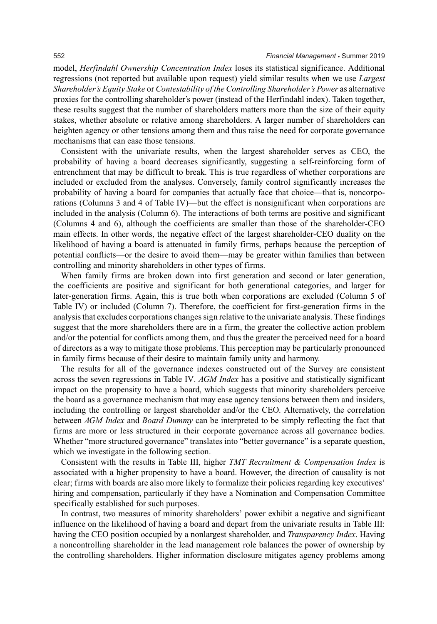model, *Herfindahl Ownership Concentration Index* loses its statistical significance. Additional regressions (not reported but available upon request) yield similar results when we use *Largest Shareholder's Equity Stake* or *Contestability of the Controlling Shareholder's Power* as alternative proxies for the controlling shareholder's power (instead of the Herfindahl index). Taken together, these results suggest that the number of shareholders matters more than the size of their equity stakes, whether absolute or relative among shareholders. A larger number of shareholders can heighten agency or other tensions among them and thus raise the need for corporate governance mechanisms that can ease those tensions.

Consistent with the univariate results, when the largest shareholder serves as CEO, the probability of having a board decreases significantly, suggesting a self-reinforcing form of entrenchment that may be difficult to break. This is true regardless of whether corporations are included or excluded from the analyses. Conversely, family control significantly increases the probability of having a board for companies that actually face that choice—that is, noncorporations (Columns 3 and 4 of Table IV)—but the effect is nonsignificant when corporations are included in the analysis (Column 6). The interactions of both terms are positive and significant (Columns 4 and 6), although the coefficients are smaller than those of the shareholder-CEO main effects. In other words, the negative effect of the largest shareholder-CEO duality on the likelihood of having a board is attenuated in family firms, perhaps because the perception of potential conflicts—or the desire to avoid them—may be greater within families than between controlling and minority shareholders in other types of firms.

When family firms are broken down into first generation and second or later generation, the coefficients are positive and significant for both generational categories, and larger for later-generation firms. Again, this is true both when corporations are excluded (Column 5 of Table IV) or included (Column 7). Therefore, the coefficient for first-generation firms in the analysis that excludes corporations changes sign relative to the univariate analysis. These findings suggest that the more shareholders there are in a firm, the greater the collective action problem and/or the potential for conflicts among them, and thus the greater the perceived need for a board of directors as a way to mitigate those problems. This perception may be particularly pronounced in family firms because of their desire to maintain family unity and harmony.

The results for all of the governance indexes constructed out of the Survey are consistent across the seven regressions in Table IV. *AGM Index* has a positive and statistically significant impact on the propensity to have a board, which suggests that minority shareholders perceive the board as a governance mechanism that may ease agency tensions between them and insiders, including the controlling or largest shareholder and/or the CEO. Alternatively, the correlation between *AGM Index* and *Board Dummy* can be interpreted to be simply reflecting the fact that firms are more or less structured in their corporate governance across all governance bodies. Whether "more structured governance" translates into "better governance" is a separate question, which we investigate in the following section.

Consistent with the results in Table III, higher *TMT Recruitment & Compensation Index* is associated with a higher propensity to have a board. However, the direction of causality is not clear; firms with boards are also more likely to formalize their policies regarding key executives' hiring and compensation, particularly if they have a Nomination and Compensation Committee specifically established for such purposes.

In contrast, two measures of minority shareholders' power exhibit a negative and significant influence on the likelihood of having a board and depart from the univariate results in Table III: having the CEO position occupied by a nonlargest shareholder, and *Transparency Index*. Having a noncontrolling shareholder in the lead management role balances the power of ownership by the controlling shareholders. Higher information disclosure mitigates agency problems among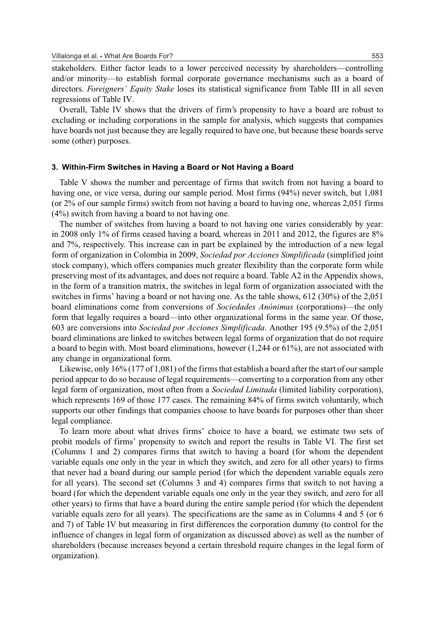stakeholders. Either factor leads to a lower perceived necessity by shareholders—controlling and/or minority—to establish formal corporate governance mechanisms such as a board of directors. *Foreigners' Equity Stake* loses its statistical significance from Table III in all seven regressions of Table IV.

Overall, Table IV shows that the drivers of firm's propensity to have a board are robust to excluding or including corporations in the sample for analysis, which suggests that companies have boards not just because they are legally required to have one, but because these boards serve some (other) purposes.

#### **3. Within-Firm Switches in Having a Board or Not Having a Board**

Table V shows the number and percentage of firms that switch from not having a board to having one, or vice versa, during our sample period. Most firms (94%) never switch, but 1,081 (or 2% of our sample firms) switch from not having a board to having one, whereas 2,051 firms (4%) switch from having a board to not having one.

The number of switches from having a board to not having one varies considerably by year: in 2008 only 1% of firms ceased having a board, whereas in 2011 and 2012, the figures are 8% and 7%, respectively. This increase can in part be explained by the introduction of a new legal form of organization in Colombia in 2009, *Sociedad por Acciones Simplificada* (simplified joint stock company), which offers companies much greater flexibility than the corporate form while preserving most of its advantages, and does not require a board. Table A2 in the Appendix shows, in the form of a transition matrix, the switches in legal form of organization associated with the switches in firms' having a board or not having one. As the table shows, 612 (30%) of the 2,051 board eliminations come from conversions of *Sociedades Anonimas ´* (corporations)—the only form that legally requires a board—into other organizational forms in the same year. Of those, 603 are conversions into *Sociedad por Acciones Simplificada*. Another 195 (9.5%) of the 2,051 board eliminations are linked to switches between legal forms of organization that do not require a board to begin with. Most board eliminations, however (1,244 or 61%), are not associated with any change in organizational form.

Likewise, only 16% (177 of 1,081) of the firms that establish a board after the start of our sample period appear to do so because of legal requirements—converting to a corporation from any other legal form of organization, most often from a *Sociedad Limitada* (limited liability corporation), which represents 169 of those 177 cases. The remaining 84% of firms switch voluntarily, which supports our other findings that companies choose to have boards for purposes other than sheer legal compliance.

To learn more about what drives firms' choice to have a board, we estimate two sets of probit models of firms' propensity to switch and report the results in Table VI. The first set (Columns 1 and 2) compares firms that switch to having a board (for whom the dependent variable equals one only in the year in which they switch, and zero for all other years) to firms that never had a board during our sample period (for which the dependent variable equals zero for all years). The second set (Columns 3 and 4) compares firms that switch to not having a board (for which the dependent variable equals one only in the year they switch, and zero for all other years) to firms that have a board during the entire sample period (for which the dependent variable equals zero for all years). The specifications are the same as in Columns 4 and 5 (or 6 and 7) of Table IV but measuring in first differences the corporation dummy (to control for the influence of changes in legal form of organization as discussed above) as well as the number of shareholders (because increases beyond a certain threshold require changes in the legal form of organization).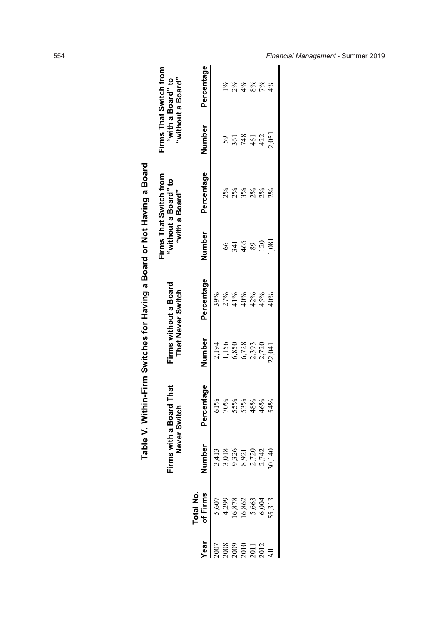|                                        |                                                                                              |                                                     | able V. Within-Firm Switches for Having a Board or Not Having a Board |                                  |                                            |                 |                                                                  |        |                                                                  |
|----------------------------------------|----------------------------------------------------------------------------------------------|-----------------------------------------------------|-----------------------------------------------------------------------|----------------------------------|--------------------------------------------|-----------------|------------------------------------------------------------------|--------|------------------------------------------------------------------|
|                                        |                                                                                              | esual:                                              | with a Board That<br>Never Switch                                     |                                  | Firms without a Board<br>That Never Switch |                 | Firms That Switch from<br>"without a Board" to<br>"with a Board" |        | Firms That Switch from<br>"without a Board"<br>"with a Board" to |
| <b>Vear</b>                            | <b>Cotal No.</b><br><b>Of Firms</b><br>5,607<br>5,607<br>16,878<br>16,862<br>55,313<br>6,004 | <u>ber</u><br>TE<br>Z                               | Percentage                                                            | Number                           | Percentage                                 | Number          | Percentage                                                       | Number | Percentage                                                       |
|                                        |                                                                                              | 3,413<br>3,018<br>3,326<br>8,7720<br>2,742<br>2,742 | 61%                                                                   |                                  | 39%                                        |                 |                                                                  |        |                                                                  |
| 2007<br>2008<br>2010 1<br>2012<br>2012 |                                                                                              |                                                     |                                                                       | 2,194<br>1,156<br>6,728<br>6,728 | $27%$<br>$40%$<br>$40%$<br>$42%$           | 66              |                                                                  |        |                                                                  |
|                                        |                                                                                              |                                                     | 70%<br>55%<br>48%                                                     |                                  |                                            |                 | 88888<br>22888                                                   |        | * * * * *<br>7 * * * *                                           |
|                                        |                                                                                              |                                                     |                                                                       |                                  |                                            | 341<br>465      |                                                                  |        |                                                                  |
|                                        |                                                                                              |                                                     |                                                                       | 2,393                            |                                            | 89              |                                                                  |        |                                                                  |
|                                        |                                                                                              |                                                     | 46%                                                                   | 2,720                            | 45%                                        | $\overline{20}$ |                                                                  | 422    |                                                                  |
|                                        |                                                                                              |                                                     | 54%                                                                   | 22,041                           | $+0\%$                                     | .081            | 2%                                                               | 2,051  | $4\%$                                                            |
|                                        |                                                                                              |                                                     |                                                                       |                                  |                                            |                 |                                                                  |        |                                                                  |

<sup>554</sup> *Financial Management* - Summer 2019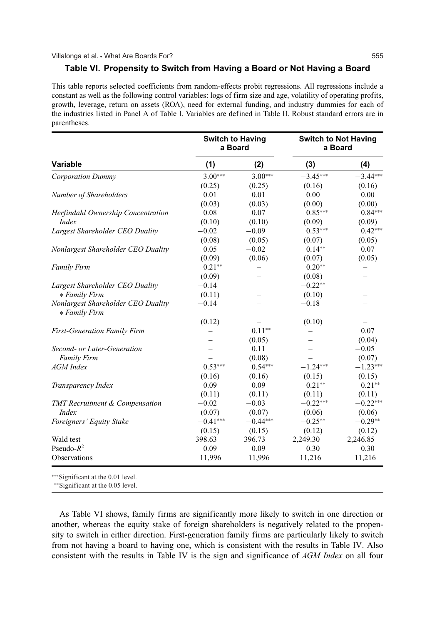#### **Table VI. Propensity to Switch from Having a Board or Not Having a Board**

This table reports selected coefficients from random-effects probit regressions. All regressions include a constant as well as the following control variables: logs of firm size and age, volatility of operating profits, growth, leverage, return on assets (ROA), need for external funding, and industry dummies for each of the industries listed in Panel A of Table I. Variables are defined in Table II. Robust standard errors are in parentheses.

|                                                     |            | <b>Switch to Having</b><br>a Board |            | <b>Switch to Not Having</b><br>a Board |
|-----------------------------------------------------|------------|------------------------------------|------------|----------------------------------------|
| <b>Variable</b>                                     | (1)        | (2)                                | (3)        | (4)                                    |
| <b>Corporation Dummy</b>                            | $3.00***$  | $3.00***$                          | $-3.45***$ | $-3.44***$                             |
|                                                     | (0.25)     | (0.25)                             | (0.16)     | (0.16)                                 |
| Number of Shareholders                              | 0.01       | 0.01                               | 0.00       | 0.00                                   |
|                                                     | (0.03)     | (0.03)                             | (0.00)     | (0.00)                                 |
| Herfindahl Ownership Concentration                  | 0.08       | 0.07                               | $0.85***$  | $0.84***$                              |
| <i>Index</i>                                        | (0.10)     | (0.10)                             | (0.09)     | (0.09)                                 |
| Largest Shareholder CEO Duality                     | $-0.02$    | $-0.09$                            | $0.53***$  | $0.42***$                              |
|                                                     | (0.08)     | (0.05)                             | (0.07)     | (0.05)                                 |
| Nonlargest Shareholder CEO Duality                  | 0.05       | $-0.02$                            | $0.14**$   | 0.07                                   |
|                                                     | (0.09)     | (0.06)                             | (0.07)     | (0.05)                                 |
| <b>Family Firm</b>                                  | $0.21**$   |                                    | $0.20**$   |                                        |
|                                                     | (0.09)     |                                    | (0.08)     |                                        |
| Largest Shareholder CEO Duality                     | $-0.14$    |                                    | $-0.22**$  |                                        |
| * Family Firm                                       | (0.11)     |                                    | (0.10)     |                                        |
| Nonlargest Shareholder CEO Duality<br>* Family Firm | $-0.14$    |                                    | $-0.18$    |                                        |
|                                                     | (0.12)     |                                    | (0.10)     |                                        |
| <b>First-Generation Family Firm</b>                 |            | $0.11**$                           |            | 0.07                                   |
|                                                     |            | (0.05)                             |            | (0.04)                                 |
| Second- or Later-Generation                         |            | 0.11                               |            | $-0.05$                                |
| <b>Family Firm</b>                                  |            | (0.08)                             |            | (0.07)                                 |
| <b>AGM</b> Index                                    | $0.53***$  | $0.54***$                          | $-1.24***$ | $-1.23***$                             |
|                                                     | (0.16)     | (0.16)                             | (0.15)     | (0.15)                                 |
| Transparency Index                                  | 0.09       | 0.09                               | $0.21**$   | $0.21**$                               |
|                                                     | (0.11)     | (0.11)                             | (0.11)     | (0.11)                                 |
| <b>TMT</b> Recruitment & Compensation               | $-0.02$    | $-0.03$                            | $-0.22***$ | $-0.22***$                             |
| <i>Index</i>                                        | (0.07)     | (0.07)                             | (0.06)     | (0.06)                                 |
| Foreigners' Equity Stake                            | $-0.41***$ | $-0.44***$                         | $-0.25**$  | $-0.29**$                              |
|                                                     | (0.15)     | (0.15)                             | (0.12)     | (0.12)                                 |
| Wald test                                           | 398.63     | 396.73                             | 2,249.30   | 2,246.85                               |
| Pseudo- $R^2$                                       | 0.09       | 0.09                               | 0.30       | 0.30                                   |
| Observations                                        | 11,996     | 11,996                             | 11,216     | 11,216                                 |

∗∗∗Significant at the 0.01 level.

∗∗Significant at the 0.05 level.

As Table VI shows, family firms are significantly more likely to switch in one direction or another, whereas the equity stake of foreign shareholders is negatively related to the propensity to switch in either direction. First-generation family firms are particularly likely to switch from not having a board to having one, which is consistent with the results in Table IV. Also consistent with the results in Table IV is the sign and significance of *AGM Index* on all four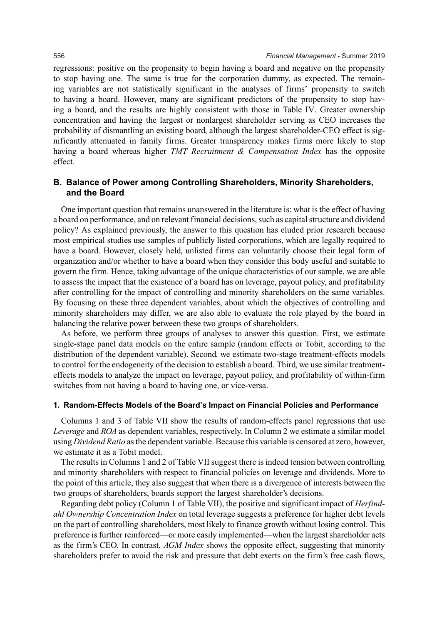regressions: positive on the propensity to begin having a board and negative on the propensity to stop having one. The same is true for the corporation dummy, as expected. The remaining variables are not statistically significant in the analyses of firms' propensity to switch to having a board. However, many are significant predictors of the propensity to stop having a board, and the results are highly consistent with those in Table IV. Greater ownership concentration and having the largest or nonlargest shareholder serving as CEO increases the probability of dismantling an existing board, although the largest shareholder-CEO effect is significantly attenuated in family firms. Greater transparency makes firms more likely to stop having a board whereas higher *TMT Recruitment & Compensation Index* has the opposite effect.

# **B. Balance of Power among Controlling Shareholders, Minority Shareholders, and the Board**

One important question that remains unanswered in the literature is: what is the effect of having a board on performance, and on relevant financial decisions, such as capital structure and dividend policy? As explained previously, the answer to this question has eluded prior research because most empirical studies use samples of publicly listed corporations, which are legally required to have a board. However, closely held, unlisted firms can voluntarily choose their legal form of organization and/or whether to have a board when they consider this body useful and suitable to govern the firm. Hence, taking advantage of the unique characteristics of our sample, we are able to assess the impact that the existence of a board has on leverage, payout policy, and profitability after controlling for the impact of controlling and minority shareholders on the same variables. By focusing on these three dependent variables, about which the objectives of controlling and minority shareholders may differ, we are also able to evaluate the role played by the board in balancing the relative power between these two groups of shareholders.

As before, we perform three groups of analyses to answer this question. First, we estimate single-stage panel data models on the entire sample (random effects or Tobit, according to the distribution of the dependent variable). Second, we estimate two-stage treatment-effects models to control for the endogeneity of the decision to establish a board. Third, we use similar treatmenteffects models to analyze the impact on leverage, payout policy, and profitability of within-firm switches from not having a board to having one, or vice-versa.

#### **1. Random-Effects Models of the Board's Impact on Financial Policies and Performance**

Columns 1 and 3 of Table VII show the results of random-effects panel regressions that use *Leverage* and *ROA* as dependent variables, respectively. In Column 2 we estimate a similar model using *Dividend Ratio* as the dependent variable. Because this variable is censored at zero, however, we estimate it as a Tobit model.

The results in Columns 1 and 2 of Table VII suggest there is indeed tension between controlling and minority shareholders with respect to financial policies on leverage and dividends. More to the point of this article, they also suggest that when there is a divergence of interests between the two groups of shareholders, boards support the largest shareholder's decisions.

Regarding debt policy (Column 1 of Table VII), the positive and significant impact of *Herfindahl Ownership Concentration Index* on total leverage suggests a preference for higher debt levels on the part of controlling shareholders, most likely to finance growth without losing control. This preference is further reinforced—or more easily implemented—when the largest shareholder acts as the firm's CEO. In contrast, *AGM Index* shows the opposite effect, suggesting that minority shareholders prefer to avoid the risk and pressure that debt exerts on the firm's free cash flows,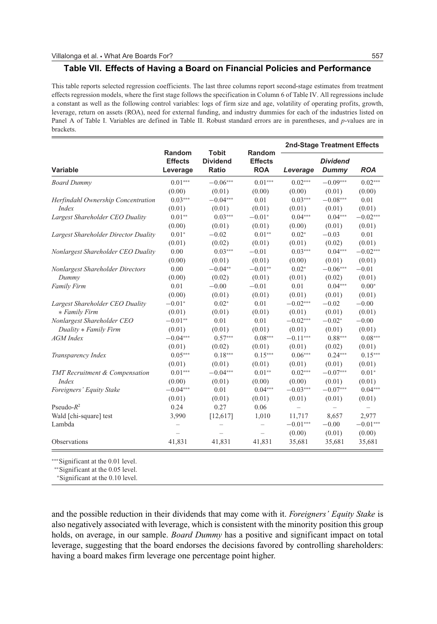#### **Table VII. Effects of Having a Board on Financial Policies and Performance**

This table reports selected regression coefficients. The last three columns report second-stage estimates from treatment effects regression models, where the first stage follows the specification in Column 6 of Table IV. All regressions include a constant as well as the following control variables: logs of firm size and age, volatility of operating profits, growth, leverage, return on assets (ROA), need for external funding, and industry dummies for each of the industries listed on Panel A of Table I. Variables are defined in Table II. Robust standard errors are in parentheses, and *p*-values are in brackets.

|                                      |                                      |                                          |                                        |                            | <b>2nd-Stage Treatment Effects</b> |            |
|--------------------------------------|--------------------------------------|------------------------------------------|----------------------------------------|----------------------------|------------------------------------|------------|
| Variable                             | Random<br><b>Effects</b><br>Leverage | <b>Tobit</b><br><b>Dividend</b><br>Ratio | Random<br><b>Effects</b><br><b>ROA</b> | Leverage                   | <b>Dividend</b><br>Dummy           | <b>ROA</b> |
| <b>Board Dummy</b>                   | $0.01***$                            | $-0.06***$                               | $0.01***$                              | $0.02***$                  | $-0.09***$                         | $0.02***$  |
|                                      | (0.00)                               | (0.01)                                   | (0.00)                                 | (0.00)                     | (0.01)                             | (0.00)     |
| Herfindahl Ownership Concentration   | $0.03***$                            | $-0.04***$                               | 0.01                                   | $0.03***$                  | $-0.08***$                         | 0.01       |
| Index                                | (0.01)                               | (0.01)                                   | (0.01)                                 | (0.01)                     | (0.01)                             | (0.01)     |
| Largest Shareholder CEO Duality      | $0.01**$                             | $0.03***$                                | $-0.01*$                               | $0.04***$                  | $0.04***$                          | $-0.02***$ |
|                                      | (0.00)                               | (0.01)                                   | (0.01)                                 | (0.00)                     | (0.01)                             | (0.01)     |
| Largest Shareholder Director Duality | $0.01*$                              | $-0.02$                                  | $0.01**$                               | $0.02*$                    | $-0.03$                            | 0.01       |
|                                      | (0.01)                               | (0.02)                                   | (0.01)                                 | (0.01)                     | (0.02)                             | (0.01)     |
| Nonlargest Shareholder CEO Duality   | 0.00                                 | $0.03***$                                | $\!-0.01$                              | $0.03***$                  | $0.04***$                          | $-0.02***$ |
|                                      | (0.00)                               | (0.01)                                   | (0.01)                                 | (0.00)                     | (0.01)                             | (0.01)     |
| Nonlargest Shareholder Directors     | 0.00                                 | $-0.04**$                                | $-0.01**$                              | $0.02*$                    | $-0.06***$                         | $-0.01$    |
| Dummy                                | (0.00)                               | (0.02)                                   | (0.01)                                 | (0.01)                     | (0.02)                             | (0.01)     |
| Family Firm                          | 0.01                                 | $-0.00$                                  | $-0.01$                                | 0.01                       | $0.04***$                          | $0.00*$    |
|                                      | (0.00)                               | (0.01)                                   | (0.01)                                 | (0.01)                     | (0.01)                             | (0.01)     |
| Largest Shareholder CEO Duality      | $-0.01*$                             | $0.02*$                                  | 0.01                                   | $-0.02***$                 | $-0.02$                            | $-0.00$    |
| * Family Firm                        | (0.01)                               | (0.01)                                   | (0.01)                                 | (0.01)                     | (0.01)                             | (0.01)     |
| Nonlargest Shareholder CEO           | $-0.01**$                            | 0.01                                     | 0.01                                   | $-0.02***$                 | $-0.02*$<br>$-0.00$                |            |
| Duality * Family Firm                | (0.01)                               | (0.01)                                   | (0.01)                                 | (0.01)<br>(0.01)<br>(0.01) |                                    |            |
| <b>AGM</b> Index                     | $-0.04***$                           | $0.57***$                                | $0.08***$                              | $-0.11***$                 | $0.88***$                          | $0.08***$  |
|                                      | (0.01)                               | (0.02)                                   | (0.01)                                 | (0.01)                     | (0.02)                             | (0.01)     |
| Transparency Index                   | $0.05***$                            | $0.18***$                                | $0.15***$                              | $0.06***$                  | $0.24***$                          | $0.15***$  |
|                                      | (0.01)                               | (0.01)                                   | (0.01)                                 | (0.01)                     | (0.01)                             | (0.01)     |
| TMT Recruitment & Compensation       | $0.01***$                            | $-0.04***$                               | $0.01**$                               | $0.02***$                  | $-0.07***$                         | $0.01*$    |
| Index                                | (0.00)                               | (0.01)                                   | (0.00)                                 | (0.00)                     | (0.01)                             | (0.01)     |
| Foreigners' Equity Stake             | $-0.04***$                           | 0.01                                     | $0.04***$                              | $-0.03***$                 | $-0.07***$                         | $0.04***$  |
|                                      | (0.01)                               | (0.01)                                   | (0.01)                                 | (0.01)                     | (0.01)                             | (0.01)     |
| Pseudo- $R^2$                        | 0.24                                 | 0.27                                     | 0.06                                   |                            |                                    | $\equiv$   |
| Wald [chi-square] test               | 3,990                                | [12,617]                                 | 1,010                                  | 11,717                     | 8,657                              | 2,977      |
| Lambda                               |                                      |                                          |                                        | $-0.01***$                 | $-0.00$                            | $-0.01***$ |
|                                      |                                      |                                          |                                        | (0.00)                     | (0.01)                             | (0.00)     |
| Observations                         | 41,831                               | 41,831                                   | 41,831                                 | 35,681                     | 35,681                             | 35,681     |

∗∗∗Significant at the 0.01 level.

∗∗Significant at the 0.05 level.

<sup>∗</sup>Significant at the 0.10 level.

and the possible reduction in their dividends that may come with it. *Foreigners' Equity Stake* is also negatively associated with leverage, which is consistent with the minority position this group holds, on average, in our sample. *Board Dummy* has a positive and significant impact on total leverage, suggesting that the board endorses the decisions favored by controlling shareholders: having a board makes firm leverage one percentage point higher.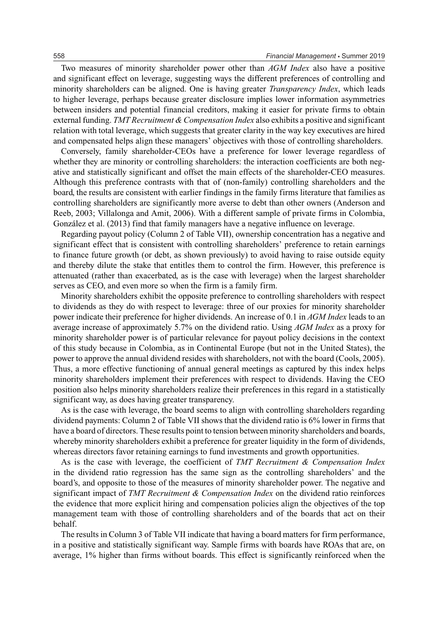Two measures of minority shareholder power other than *AGM Index* also have a positive and significant effect on leverage, suggesting ways the different preferences of controlling and minority shareholders can be aligned. One is having greater *Transparency Index*, which leads to higher leverage, perhaps because greater disclosure implies lower information asymmetries between insiders and potential financial creditors, making it easier for private firms to obtain external funding. *TMT Recruitment & Compensation Index* also exhibits a positive and significant relation with total leverage, which suggests that greater clarity in the way key executives are hired and compensated helps align these managers' objectives with those of controlling shareholders.

Conversely, family shareholder-CEOs have a preference for lower leverage regardless of whether they are minority or controlling shareholders: the interaction coefficients are both negative and statistically significant and offset the main effects of the shareholder-CEO measures. Although this preference contrasts with that of (non-family) controlling shareholders and the board, the results are consistent with earlier findings in the family firms literature that families as controlling shareholders are significantly more averse to debt than other owners (Anderson and Reeb, 2003; Villalonga and Amit, 2006). With a different sample of private firms in Colombia, González et al. (2013) find that family managers have a negative influence on leverage.

Regarding payout policy (Column 2 of Table VII), ownership concentration has a negative and significant effect that is consistent with controlling shareholders' preference to retain earnings to finance future growth (or debt, as shown previously) to avoid having to raise outside equity and thereby dilute the stake that entitles them to control the firm. However, this preference is attenuated (rather than exacerbated, as is the case with leverage) when the largest shareholder serves as CEO, and even more so when the firm is a family firm.

Minority shareholders exhibit the opposite preference to controlling shareholders with respect to dividends as they do with respect to leverage: three of our proxies for minority shareholder power indicate their preference for higher dividends. An increase of 0.1 in *AGM Index* leads to an average increase of approximately 5.7% on the dividend ratio. Using *AGM Index* as a proxy for minority shareholder power is of particular relevance for payout policy decisions in the context of this study because in Colombia, as in Continental Europe (but not in the United States), the power to approve the annual dividend resides with shareholders, not with the board (Cools, 2005). Thus, a more effective functioning of annual general meetings as captured by this index helps minority shareholders implement their preferences with respect to dividends. Having the CEO position also helps minority shareholders realize their preferences in this regard in a statistically significant way, as does having greater transparency.

As is the case with leverage, the board seems to align with controlling shareholders regarding dividend payments: Column 2 of Table VII shows that the dividend ratio is 6% lower in firms that have a board of directors. These results point to tension between minority shareholders and boards, whereby minority shareholders exhibit a preference for greater liquidity in the form of dividends, whereas directors favor retaining earnings to fund investments and growth opportunities.

As is the case with leverage, the coefficient of *TMT Recruitment & Compensation Index* in the dividend ratio regression has the same sign as the controlling shareholders' and the board's, and opposite to those of the measures of minority shareholder power. The negative and significant impact of *TMT Recruitment & Compensation Index* on the dividend ratio reinforces the evidence that more explicit hiring and compensation policies align the objectives of the top management team with those of controlling shareholders and of the boards that act on their behalf.

The results in Column 3 of Table VII indicate that having a board matters for firm performance, in a positive and statistically significant way. Sample firms with boards have ROAs that are, on average, 1% higher than firms without boards. This effect is significantly reinforced when the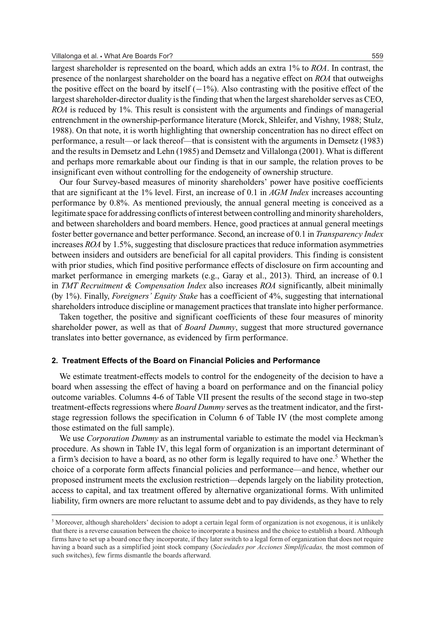largest shareholder is represented on the board, which adds an extra 1% to *ROA*. In contrast, the presence of the nonlargest shareholder on the board has a negative effect on *ROA* that outweighs the positive effect on the board by itself  $(-1\%)$ . Also contrasting with the positive effect of the largest shareholder-director duality is the finding that when the largest shareholder serves as CEO, *ROA* is reduced by 1%. This result is consistent with the arguments and findings of managerial entrenchment in the ownership-performance literature (Morck, Shleifer, and Vishny, 1988; Stulz, 1988). On that note, it is worth highlighting that ownership concentration has no direct effect on performance, a result—or lack thereof—that is consistent with the arguments in Demsetz (1983) and the results in Demsetz and Lehn (1985) and Demsetz and Villalonga (2001). What is different and perhaps more remarkable about our finding is that in our sample, the relation proves to be insignificant even without controlling for the endogeneity of ownership structure.

Our four Survey-based measures of minority shareholders' power have positive coefficients that are significant at the 1% level. First, an increase of 0.1 in *AGM Index* increases accounting performance by 0.8%. As mentioned previously, the annual general meeting is conceived as a legitimate space for addressing conflicts of interest between controlling and minority shareholders, and between shareholders and board members. Hence, good practices at annual general meetings foster better governance and better performance. Second, an increase of 0.1 in *Transparency Index* increases *ROA* by 1.5%, suggesting that disclosure practices that reduce information asymmetries between insiders and outsiders are beneficial for all capital providers. This finding is consistent with prior studies, which find positive performance effects of disclosure on firm accounting and market performance in emerging markets (e.g., Garay et al., 2013). Third, an increase of 0.1 in *TMT Recruitment & Compensation Index* also increases *ROA* significantly, albeit minimally (by 1%). Finally, *Foreigners' Equity Stake* has a coefficient of 4%, suggesting that international shareholders introduce discipline or management practices that translate into higher performance.

Taken together, the positive and significant coefficients of these four measures of minority shareholder power, as well as that of *Board Dummy*, suggest that more structured governance translates into better governance, as evidenced by firm performance.

#### **2. Treatment Effects of the Board on Financial Policies and Performance**

We estimate treatment-effects models to control for the endogeneity of the decision to have a board when assessing the effect of having a board on performance and on the financial policy outcome variables. Columns 4-6 of Table VII present the results of the second stage in two-step treatment-effects regressions where *Board Dummy* serves as the treatment indicator, and the firststage regression follows the specification in Column 6 of Table IV (the most complete among those estimated on the full sample).

We use *Corporation Dummy* as an instrumental variable to estimate the model via Heckman's procedure. As shown in Table IV, this legal form of organization is an important determinant of a firm's decision to have a board, as no other form is legally required to have one.<sup>5</sup> Whether the choice of a corporate form affects financial policies and performance—and hence, whether our proposed instrument meets the exclusion restriction—depends largely on the liability protection, access to capital, and tax treatment offered by alternative organizational forms. With unlimited liability, firm owners are more reluctant to assume debt and to pay dividends, as they have to rely

 $<sup>5</sup>$  Moreover, although shareholders' decision to adopt a certain legal form of organization is not exogenous, it is unlikely</sup> that there is a reverse causation between the choice to incorporate a business and the choice to establish a board. Although firms have to set up a board once they incorporate, if they later switch to a legal form of organization that does not require having a board such as a simplified joint stock company (*Sociedades por Acciones Simplificadas,* the most common of such switches), few firms dismantle the boards afterward.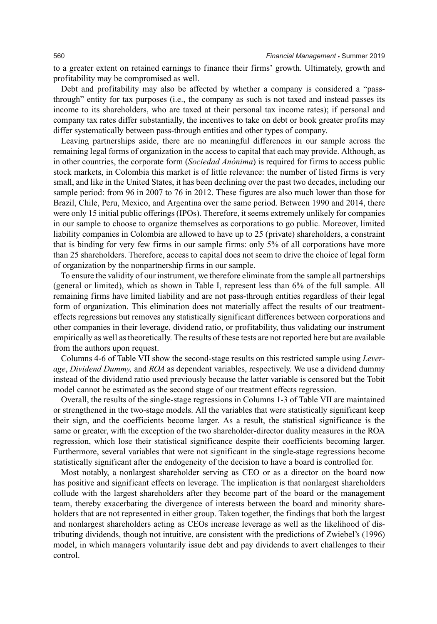to a greater extent on retained earnings to finance their firms' growth. Ultimately, growth and profitability may be compromised as well.

Debt and profitability may also be affected by whether a company is considered a "passthrough" entity for tax purposes (i.e., the company as such is not taxed and instead passes its income to its shareholders, who are taxed at their personal tax income rates); if personal and company tax rates differ substantially, the incentives to take on debt or book greater profits may differ systematically between pass-through entities and other types of company.

Leaving partnerships aside, there are no meaningful differences in our sample across the remaining legal forms of organization in the access to capital that each may provide. Although, as in other countries, the corporate form *(Sociedad Anonima)* is required for firms to access public stock markets, in Colombia this market is of little relevance: the number of listed firms is very small, and like in the United States, it has been declining over the past two decades, including our sample period: from 96 in 2007 to 76 in 2012. These figures are also much lower than those for Brazil, Chile, Peru, Mexico, and Argentina over the same period. Between 1990 and 2014, there were only 15 initial public offerings (IPOs). Therefore, it seems extremely unlikely for companies in our sample to choose to organize themselves as corporations to go public. Moreover, limited liability companies in Colombia are allowed to have up to 25 (private) shareholders, a constraint that is binding for very few firms in our sample firms: only 5% of all corporations have more than 25 shareholders. Therefore, access to capital does not seem to drive the choice of legal form of organization by the nonpartnership firms in our sample.

To ensure the validity of our instrument, we therefore eliminate from the sample all partnerships (general or limited), which as shown in Table I, represent less than 6% of the full sample. All remaining firms have limited liability and are not pass-through entities regardless of their legal form of organization. This elimination does not materially affect the results of our treatmenteffects regressions but removes any statistically significant differences between corporations and other companies in their leverage, dividend ratio, or profitability, thus validating our instrument empirically as well as theoretically. The results of these tests are not reported here but are available from the authors upon request.

Columns 4-6 of Table VII show the second-stage results on this restricted sample using *Leverage*, *Dividend Dummy,* and *ROA* as dependent variables, respectively. We use a dividend dummy instead of the dividend ratio used previously because the latter variable is censored but the Tobit model cannot be estimated as the second stage of our treatment effects regression.

Overall, the results of the single-stage regressions in Columns 1-3 of Table VII are maintained or strengthened in the two-stage models. All the variables that were statistically significant keep their sign, and the coefficients become larger. As a result, the statistical significance is the same or greater, with the exception of the two shareholder-director duality measures in the ROA regression, which lose their statistical significance despite their coefficients becoming larger. Furthermore, several variables that were not significant in the single-stage regressions become statistically significant after the endogeneity of the decision to have a board is controlled for.

Most notably, a nonlargest shareholder serving as CEO or as a director on the board now has positive and significant effects on leverage. The implication is that nonlargest shareholders collude with the largest shareholders after they become part of the board or the management team, thereby exacerbating the divergence of interests between the board and minority shareholders that are not represented in either group. Taken together, the findings that both the largest and nonlargest shareholders acting as CEOs increase leverage as well as the likelihood of distributing dividends, though not intuitive, are consistent with the predictions of Zwiebel's (1996) model, in which managers voluntarily issue debt and pay dividends to avert challenges to their control.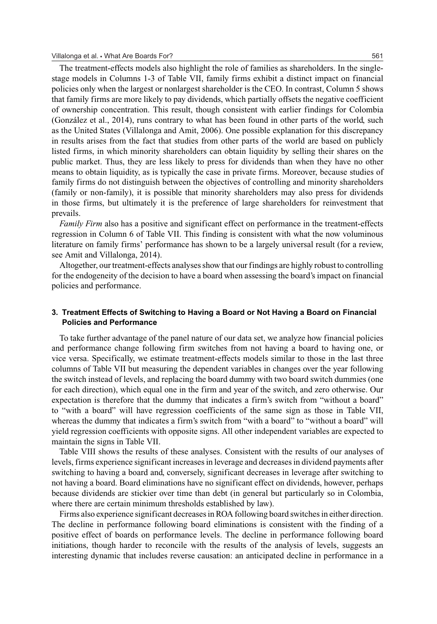The treatment-effects models also highlight the role of families as shareholders. In the singlestage models in Columns 1-3 of Table VII, family firms exhibit a distinct impact on financial policies only when the largest or nonlargest shareholder is the CEO. In contrast, Column 5 shows that family firms are more likely to pay dividends, which partially offsets the negative coefficient of ownership concentration. This result, though consistent with earlier findings for Colombia (Gonzalez et al., 2014), runs contrary to what has been found in other parts of the world, such ´ as the United States (Villalonga and Amit, 2006). One possible explanation for this discrepancy in results arises from the fact that studies from other parts of the world are based on publicly listed firms, in which minority shareholders can obtain liquidity by selling their shares on the public market. Thus, they are less likely to press for dividends than when they have no other means to obtain liquidity, as is typically the case in private firms. Moreover, because studies of family firms do not distinguish between the objectives of controlling and minority shareholders (family or non-family), it is possible that minority shareholders may also press for dividends in those firms, but ultimately it is the preference of large shareholders for reinvestment that prevails.

*Family Firm* also has a positive and significant effect on performance in the treatment-effects regression in Column 6 of Table VII. This finding is consistent with what the now voluminous literature on family firms' performance has shown to be a largely universal result (for a review, see Amit and Villalonga, 2014).

Altogether, our treatment-effects analyses show that our findings are highly robust to controlling for the endogeneity of the decision to have a board when assessing the board's impact on financial policies and performance.

## **3. Treatment Effects of Switching to Having a Board or Not Having a Board on Financial Policies and Performance**

To take further advantage of the panel nature of our data set, we analyze how financial policies and performance change following firm switches from not having a board to having one, or vice versa. Specifically, we estimate treatment-effects models similar to those in the last three columns of Table VII but measuring the dependent variables in changes over the year following the switch instead of levels, and replacing the board dummy with two board switch dummies (one for each direction), which equal one in the firm and year of the switch, and zero otherwise. Our expectation is therefore that the dummy that indicates a firm's switch from "without a board" to "with a board" will have regression coefficients of the same sign as those in Table VII, whereas the dummy that indicates a firm's switch from "with a board" to "without a board" will yield regression coefficients with opposite signs. All other independent variables are expected to maintain the signs in Table VII.

Table VIII shows the results of these analyses. Consistent with the results of our analyses of levels, firms experience significant increases in leverage and decreases in dividend payments after switching to having a board and, conversely, significant decreases in leverage after switching to not having a board. Board eliminations have no significant effect on dividends, however, perhaps because dividends are stickier over time than debt (in general but particularly so in Colombia, where there are certain minimum thresholds established by law).

Firms also experience significant decreases in ROA following board switches in either direction. The decline in performance following board eliminations is consistent with the finding of a positive effect of boards on performance levels. The decline in performance following board initiations, though harder to reconcile with the results of the analysis of levels, suggests an interesting dynamic that includes reverse causation: an anticipated decline in performance in a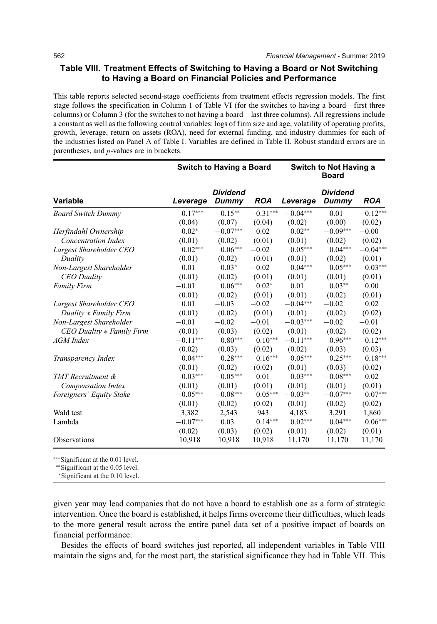## **Table VIII. Treatment Effects of Switching to Having a Board or Not Switching to Having a Board on Financial Policies and Performance**

This table reports selected second-stage coefficients from treatment effects regression models. The first stage follows the specification in Column 1 of Table VI (for the switches to having a board—first three columns) or Column 3 (for the switches to not having a board—last three columns). All regressions include a constant as well as the following control variables: logs of firm size and age, volatility of operating profits, growth, leverage, return on assets (ROA), need for external funding, and industry dummies for each of the industries listed on Panel A of Table I. Variables are defined in Table II. Robust standard errors are in parentheses, and *p*-values are in brackets.

|                            |            | <b>Switch to Having a Board</b> |            |            | <b>Switch to Not Having a</b><br><b>Board</b> |            |
|----------------------------|------------|---------------------------------|------------|------------|-----------------------------------------------|------------|
| <b>Variable</b>            | Leverage   | <b>Dividend</b><br>Dummy        | <b>ROA</b> | Leverage   | <b>Dividend</b><br>Dummy                      | <b>ROA</b> |
| <b>Board Switch Dummy</b>  | $0.17***$  | $-0.15**$                       | $-0.31***$ | $-0.04***$ | 0.01                                          | $-0.12***$ |
|                            | (0.04)     | (0.07)                          | (0.04)     | (0.02)     | (0.00)                                        | (0.02)     |
| Herfindahl Ownership       | $0.02*$    | $-0.07***$                      | 0.02       | $0.02**$   | $-0.09***$                                    | $-0.00$    |
| <b>Concentration Index</b> | (0.01)     | (0.02)                          | (0.01)     | (0.01)     | (0.02)                                        | (0.02)     |
| Largest Shareholder CEO    | $0.02***$  | $0.06***$                       | $-0.02$    | $0.05***$  | $0.04***$                                     | $-0.04***$ |
| Duality                    | (0.01)     | (0.02)                          | (0.01)     | (0.01)     | (0.02)                                        | (0.01)     |
| Non-Largest Shareholder    | 0.01       | $0.03*$                         | $-0.02$    | $0.04***$  | $0.05***$                                     | $-0.03***$ |
| <b>CEO</b> Duality         | (0.01)     | (0.02)                          | (0.01)     | (0.01)     | (0.01)                                        | (0.01)     |
| <b>Family Firm</b>         | $-0.01$    | $0.06***$                       | $0.02*$    | 0.01       | $0.03***$                                     | 0.00       |
|                            | (0.01)     | (0.02)                          | (0.01)     | (0.01)     | (0.02)                                        | (0.01)     |
| Largest Shareholder CEO    | 0.01       | $-0.03$                         | $-0.02$    | $-0.04***$ | $-0.02$                                       | 0.02       |
| Duality * Family Firm      | (0.01)     | (0.02)                          | (0.01)     | (0.01)     | (0.02)                                        | (0.02)     |
| Non-Largest Shareholder    | $-0.01$    | $-0.02$                         | $-0.01$    | $-0.03***$ | $-0.02$                                       | $-0.01$    |
| CEO Duality * Family Firm  | (0.01)     | (0.03)                          | (0.02)     | (0.01)     | (0.02)                                        | (0.02)     |
| <b>AGM</b> Index           | $-0.11***$ | $0.80***$                       | $0.10***$  | $-0.11***$ | $0.96***$                                     | $0.12***$  |
|                            | (0.02)     | (0.03)                          | (0.02)     | (0.02)     | (0.03)                                        | (0.03)     |
| Transparency Index         | $0.04***$  | $0.28***$                       | $0.16***$  | $0.05***$  | $0.25***$                                     | $0.18***$  |
|                            | (0.01)     | (0.02)                          | (0.02)     | (0.01)     | (0.03)                                        | (0.02)     |
| <b>TMT</b> Recruitment &   | $0.03***$  | $-0.05***$                      | 0.01       | $0.03***$  | $-0.08***$                                    | 0.02       |
| <b>Compensation Index</b>  | (0.01)     | (0.01)                          | (0.01)     | (0.01)     | (0.01)                                        | (0.01)     |
| Foreigners' Equity Stake   | $-0.05***$ | $-0.08***$                      | $0.05***$  | $-0.03**$  | $-0.07***$                                    | $0.07***$  |
|                            | (0.01)     | (0.02)                          | (0.02)     | (0.01)     | (0.02)                                        | (0.02)     |
| Wald test                  | 3,382      | 2,543                           | 943        | 4,183      | 3,291                                         | 1,860      |
| Lambda                     | $-0.07***$ | 0.03                            | $0.14***$  | $0.02***$  | $0.04***$                                     | $0.06***$  |
|                            | (0.02)     | (0.03)                          | (0.02)     | (0.01)     | (0.02)                                        | (0.01)     |
| Observations               | 10,918     | 10,918                          | 10,918     | 11,170     | 11,170                                        | 11,170     |

∗∗∗Significant at the 0.01 level.

∗∗Significant at the 0.05 level.

<sup>∗</sup>Significant at the 0.10 level.

given year may lead companies that do not have a board to establish one as a form of strategic intervention. Once the board is established, it helps firms overcome their difficulties, which leads to the more general result across the entire panel data set of a positive impact of boards on financial performance.

Besides the effects of board switches just reported, all independent variables in Table VIII maintain the signs and, for the most part, the statistical significance they had in Table VII. This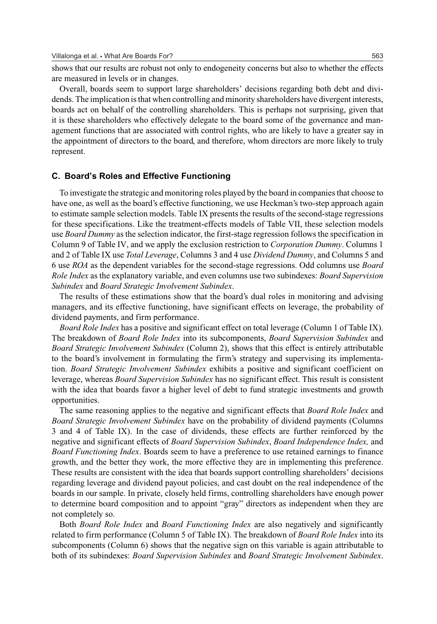shows that our results are robust not only to endogeneity concerns but also to whether the effects are measured in levels or in changes.

Overall, boards seem to support large shareholders' decisions regarding both debt and dividends. The implication is that when controlling and minority shareholders have divergent interests, boards act on behalf of the controlling shareholders. This is perhaps not surprising, given that it is these shareholders who effectively delegate to the board some of the governance and management functions that are associated with control rights, who are likely to have a greater say in the appointment of directors to the board, and therefore, whom directors are more likely to truly represent.

#### **C. Board's Roles and Effective Functioning**

To investigate the strategic and monitoring roles played by the board in companies that choose to have one, as well as the board's effective functioning, we use Heckman's two-step approach again to estimate sample selection models. Table IX presents the results of the second-stage regressions for these specifications. Like the treatment-effects models of Table VII, these selection models use *Board Dummy* as the selection indicator, the first-stage regression follows the specification in Column 9 of Table IV, and we apply the exclusion restriction to *Corporation Dummy*. Columns 1 and 2 of Table IX use *Total Leverage*, Columns 3 and 4 use *Dividend Dummy*, and Columns 5 and 6 use *ROA* as the dependent variables for the second-stage regressions. Odd columns use *Board Role Index* as the explanatory variable, and even columns use two subindexes: *Board Supervision Subindex* and *Board Strategic Involvement Subindex*.

The results of these estimations show that the board's dual roles in monitoring and advising managers, and its effective functioning, have significant effects on leverage, the probability of dividend payments, and firm performance.

*Board Role Index* has a positive and significant effect on total leverage (Column 1 of Table IX). The breakdown of *Board Role Index* into its subcomponents, *Board Supervision Subindex* and *Board Strategic Involvement Subindex* (Column 2), shows that this effect is entirely attributable to the board's involvement in formulating the firm's strategy and supervising its implementation. *Board Strategic Involvement Subindex* exhibits a positive and significant coefficient on leverage, whereas *Board Supervision Subindex* has no significant effect. This result is consistent with the idea that boards favor a higher level of debt to fund strategic investments and growth opportunities.

The same reasoning applies to the negative and significant effects that *Board Role Index* and *Board Strategic Involvement Subindex* have on the probability of dividend payments (Columns 3 and 4 of Table IX). In the case of dividends, these effects are further reinforced by the negative and significant effects of *Board Supervision Subindex*, *Board Independence Index,* and *Board Functioning Index*. Boards seem to have a preference to use retained earnings to finance growth, and the better they work, the more effective they are in implementing this preference. These results are consistent with the idea that boards support controlling shareholders' decisions regarding leverage and dividend payout policies, and cast doubt on the real independence of the boards in our sample. In private, closely held firms, controlling shareholders have enough power to determine board composition and to appoint "gray" directors as independent when they are not completely so.

Both *Board Role Index* and *Board Functioning Index* are also negatively and significantly related to firm performance (Column 5 of Table IX). The breakdown of *Board Role Index* into its subcomponents (Column 6) shows that the negative sign on this variable is again attributable to both of its subindexes: *Board Supervision Subindex* and *Board Strategic Involvement Subindex*.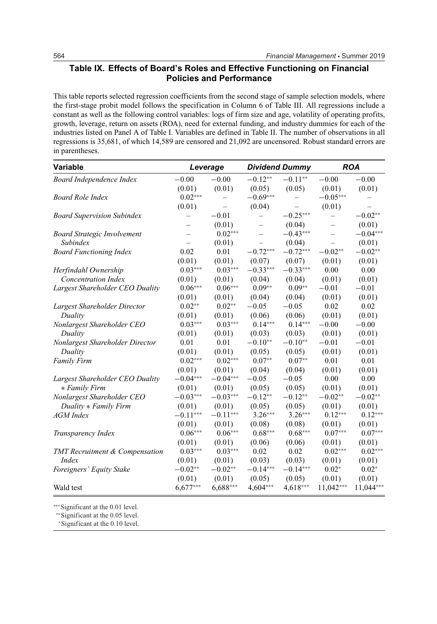## **Table IX. Effects of Board's Roles and Effective Functioning on Financial Policies and Performance**

This table reports selected regression coefficients from the second stage of sample selection models, where the first-stage probit model follows the specification in Column 6 of Table III. All regressions include a constant as well as the following control variables: logs of firm size and age, volatility of operating profits, growth, leverage, return on assets (ROA), need for external funding, and industry dummies for each of the industries listed on Panel A of Table I. Variables are defined in Table II. The number of observations in all regressions is 35,681, of which 14,589 are censored and 21,092 are uncensored. Robust standard errors are in parentheses.

| Variable                              |                   | Leverage                 |                          | <b>Dividend Dummy</b> |                          | <b>ROA</b> |
|---------------------------------------|-------------------|--------------------------|--------------------------|-----------------------|--------------------------|------------|
| Board Independence Index              | $-0.00$           | $-0.00$                  | $-0.12**$                | $-0.11**$             | $-0.00$                  | $-0.00$    |
|                                       | (0.01)            | (0.01)                   | (0.05)                   | (0.05)                | (0.01)                   | (0.01)     |
| <b>Board Role Index</b>               | $0.02***$         | $\overline{\phantom{0}}$ | $-0.69***$               | $\overline{a}$        | $-0.05***$               |            |
|                                       | (0.01)            |                          | (0.04)                   |                       | (0.01)                   |            |
| <b>Board Supervision Subindex</b>     | $\qquad \qquad -$ | $-0.01$                  | $\overline{\phantom{0}}$ | $-0.25***$            | $\overline{\phantom{0}}$ | $-0.02**$  |
|                                       |                   | (0.01)                   | $\qquad \qquad -$        | (0.04)                |                          | (0.01)     |
| <b>Board Strategic Involvement</b>    |                   | $0.02***$                | $\overline{a}$           | $-0.43***$            | $\overline{a}$           | $-0.04***$ |
| Subindex                              |                   | (0.01)                   | $\overline{\phantom{0}}$ | (0.04)                | $\overline{\phantom{0}}$ | (0.01)     |
| <b>Board Functioning Index</b>        | 0.02              | 0.01                     | $-0.72***$               | $-0.72***$            | $-0.02**$                | $-0.02**$  |
|                                       | (0.01)            | (0.01)                   | (0.07)                   | (0.07)                | (0.01)                   | (0.01)     |
| Herfindahl Ownership                  | $0.03***$         | $0.03***$                | $-0.33***$               | $-0.33***$            | 0.00                     | 0.00       |
| <b>Concentration Index</b>            | (0.01)            | (0.01)                   | (0.04)                   | (0.04)                | (0.01)                   | (0.01)     |
| Largest Shareholder CEO Duality       | $0.06***$         | $0.06***$                | $0.09**$                 | $0.09**$              | $-0.01$                  | $-0.01$    |
|                                       | (0.01)            | (0.01)                   | (0.04)                   | (0.04)                | (0.01)                   | (0.01)     |
| Largest Shareholder Director          | $0.02**$          | $0.02**$                 | $-0.05$                  | $-0.05$               | 0.02                     | 0.02       |
| Duality                               | (0.01)            | (0.01)                   | (0.06)                   | (0.06)                | (0.01)                   | (0.01)     |
| Nonlargest Shareholder CEO            | $0.03***$         | $0.03***$                | $0.14***$                | $0.14***$             | $-0.00$                  | $-0.00$    |
| Duality                               | (0.01)            | (0.01)                   | (0.03)                   | (0.03)                | (0.01)                   | (0.01)     |
| Nonlargest Shareholder Director       | 0.01              | 0.01                     | $-0.10**$                | $-0.10**$             | $-0.01$                  | $-0.01$    |
| Duality                               | (0.01)            | (0.01)                   | (0.05)                   | (0.05)                | (0.01)                   | (0.01)     |
| <b>Family Firm</b>                    | $0.02***$         | $0.02***$                | $0.07**$                 | $0.07**$              | 0.01                     | 0.01       |
|                                       | (0.01)            | (0.01)                   | (0.04)                   | (0.04)                | (0.01)                   | (0.01)     |
| Largest Shareholder CEO Duality       | $-0.04***$        | $-0.04***$               | $-0.05$                  | $-0.05$               | 0.00                     | 0.00       |
| * Family Firm                         | (0.01)            | (0.01)                   | (0.05)                   | (0.05)                | (0.01)                   | (0.01)     |
| Nonlargest Shareholder CEO            | $-0.03***$        | $-0.03***$               | $-0.12**$                | $-0.12**$             | $-0.02**$                | $-0.02**$  |
| Duality * Family Firm                 | (0.01)            | (0.01)                   | (0.05)                   | (0.05)                | (0.01)                   | (0.01)     |
| <b>AGM</b> Index                      | $-0.11***$        | $-0.11***$               | $3.26***$                | $3.26***$             | $0.12***$                | $0.12***$  |
|                                       | (0.01)            | (0.01)                   | (0.08)                   | (0.08)                | (0.01)                   | (0.01)     |
| Transparency Index                    | $0.06***$         | $0.06***$                | $0.68***$                | $0.68***$             | $0.07***$                | $0.07***$  |
|                                       | (0.01)            | (0.01)                   | (0.06)                   | (0.06)                | (0.01)                   | (0.01)     |
| <b>TMT</b> Recruitment & Compensation | $0.03***$         | $0.03***$                | 0.02                     | 0.02                  | $0.02***$                | $0.02***$  |
| <i>Index</i>                          | (0.01)            | (0.01)                   | (0.03)                   | (0.03)                | (0.01)                   | (0.01)     |
| Foreigners' Equity Stake              | $-0.02**$         | $-0.02**$                | $-0.14***$               | $-0.14***$            | $0.02*$                  | $0.02*$    |
|                                       | (0.01)            | (0.01)                   | (0.05)                   | (0.05)                | (0.01)                   | (0.01)     |
| Wald test                             | $6,677***$        | $6,688***$               | 4,604***                 | $4,618***$            | 11,042***                | 11,044***  |

∗∗∗Significant at the 0.01 level.

∗∗Significant at the 0.05 level.

∗Significant at the 0.10 level.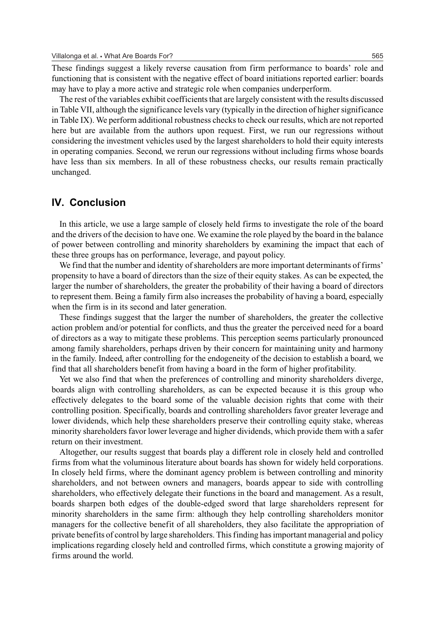These findings suggest a likely reverse causation from firm performance to boards' role and functioning that is consistent with the negative effect of board initiations reported earlier: boards may have to play a more active and strategic role when companies underperform.

The rest of the variables exhibit coefficients that are largely consistent with the results discussed in Table VII, although the significance levels vary (typically in the direction of higher significance in Table IX). We perform additional robustness checks to check our results, which are not reported here but are available from the authors upon request. First, we run our regressions without considering the investment vehicles used by the largest shareholders to hold their equity interests in operating companies. Second, we rerun our regressions without including firms whose boards have less than six members. In all of these robustness checks, our results remain practically unchanged.

# **IV. Conclusion**

In this article, we use a large sample of closely held firms to investigate the role of the board and the drivers of the decision to have one. We examine the role played by the board in the balance of power between controlling and minority shareholders by examining the impact that each of these three groups has on performance, leverage, and payout policy.

We find that the number and identity of shareholders are more important determinants of firms' propensity to have a board of directors than the size of their equity stakes. As can be expected, the larger the number of shareholders, the greater the probability of their having a board of directors to represent them. Being a family firm also increases the probability of having a board, especially when the firm is in its second and later generation.

These findings suggest that the larger the number of shareholders, the greater the collective action problem and/or potential for conflicts, and thus the greater the perceived need for a board of directors as a way to mitigate these problems. This perception seems particularly pronounced among family shareholders, perhaps driven by their concern for maintaining unity and harmony in the family. Indeed, after controlling for the endogeneity of the decision to establish a board, we find that all shareholders benefit from having a board in the form of higher profitability.

Yet we also find that when the preferences of controlling and minority shareholders diverge, boards align with controlling shareholders, as can be expected because it is this group who effectively delegates to the board some of the valuable decision rights that come with their controlling position. Specifically, boards and controlling shareholders favor greater leverage and lower dividends, which help these shareholders preserve their controlling equity stake, whereas minority shareholders favor lower leverage and higher dividends, which provide them with a safer return on their investment.

Altogether, our results suggest that boards play a different role in closely held and controlled firms from what the voluminous literature about boards has shown for widely held corporations. In closely held firms, where the dominant agency problem is between controlling and minority shareholders, and not between owners and managers, boards appear to side with controlling shareholders, who effectively delegate their functions in the board and management. As a result, boards sharpen both edges of the double-edged sword that large shareholders represent for minority shareholders in the same firm: although they help controlling shareholders monitor managers for the collective benefit of all shareholders, they also facilitate the appropriation of private benefits of control by large shareholders. This finding has important managerial and policy implications regarding closely held and controlled firms, which constitute a growing majority of firms around the world.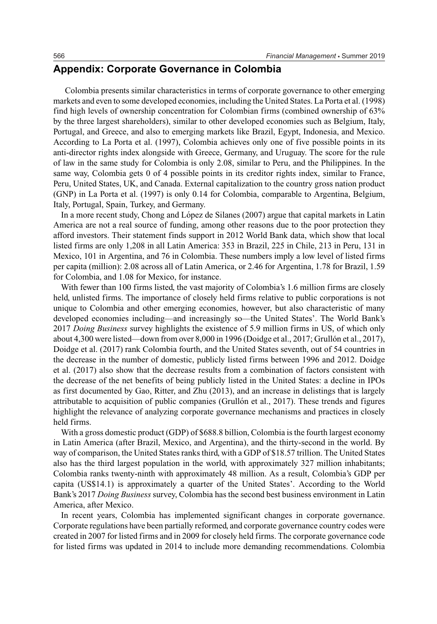# **Appendix: Corporate Governance in Colombia**

Colombia presents similar characteristics in terms of corporate governance to other emerging markets and even to some developed economies, including the United States. La Porta et al. (1998) find high levels of ownership concentration for Colombian firms (combined ownership of 63% by the three largest shareholders), similar to other developed economies such as Belgium, Italy, Portugal, and Greece, and also to emerging markets like Brazil, Egypt, Indonesia, and Mexico. According to La Porta et al. (1997), Colombia achieves only one of five possible points in its anti-director rights index alongside with Greece, Germany, and Uruguay. The score for the rule of law in the same study for Colombia is only 2.08, similar to Peru, and the Philippines. In the same way, Colombia gets 0 of 4 possible points in its creditor rights index, similar to France, Peru, United States, UK, and Canada. External capitalization to the country gross nation product (GNP) in La Porta et al. (1997) is only 0.14 for Colombia, comparable to Argentina, Belgium, Italy, Portugal, Spain, Turkey, and Germany.

In a more recent study, Chong and López de Silanes (2007) argue that capital markets in Latin America are not a real source of funding, among other reasons due to the poor protection they afford investors. Their statement finds support in 2012 World Bank data, which show that local listed firms are only 1,208 in all Latin America: 353 in Brazil, 225 in Chile, 213 in Peru, 131 in Mexico, 101 in Argentina, and 76 in Colombia. These numbers imply a low level of listed firms per capita (million): 2.08 across all of Latin America, or 2.46 for Argentina, 1.78 for Brazil, 1.59 for Colombia, and 1.08 for Mexico, for instance.

With fewer than 100 firms listed, the vast majority of Colombia's 1.6 million firms are closely held, unlisted firms. The importance of closely held firms relative to public corporations is not unique to Colombia and other emerging economies, however, but also characteristic of many developed economies including—and increasingly so—the United States'. The World Bank's 2017 *Doing Business* survey highlights the existence of 5.9 million firms in US, of which only about 4,300 were listed—down from over 8,000 in 1996 (Doidge et al., 2017; Grullón et al., 2017), Doidge et al. (2017) rank Colombia fourth, and the United States seventh, out of 54 countries in the decrease in the number of domestic, publicly listed firms between 1996 and 2012. Doidge et al. (2017) also show that the decrease results from a combination of factors consistent with the decrease of the net benefits of being publicly listed in the United States: a decline in IPOs as first documented by Gao, Ritter, and Zhu (2013), and an increase in delistings that is largely attributable to acquisition of public companies (Grullón et al., 2017). These trends and figures highlight the relevance of analyzing corporate governance mechanisms and practices in closely held firms.

With a gross domestic product (GDP) of \$688.8 billion, Colombia is the fourth largest economy in Latin America (after Brazil, Mexico, and Argentina), and the thirty-second in the world. By way of comparison, the United States ranks third, with a GDP of \$18.57 trillion. The United States also has the third largest population in the world, with approximately 327 million inhabitants; Colombia ranks twenty-ninth with approximately 48 million. As a result, Colombia's GDP per capita (US\$14.1) is approximately a quarter of the United States'. According to the World Bank's 2017 *Doing Business* survey, Colombia has the second best business environment in Latin America, after Mexico.

In recent years, Colombia has implemented significant changes in corporate governance. Corporate regulations have been partially reformed, and corporate governance country codes were created in 2007 for listed firms and in 2009 for closely held firms. The corporate governance code for listed firms was updated in 2014 to include more demanding recommendations. Colombia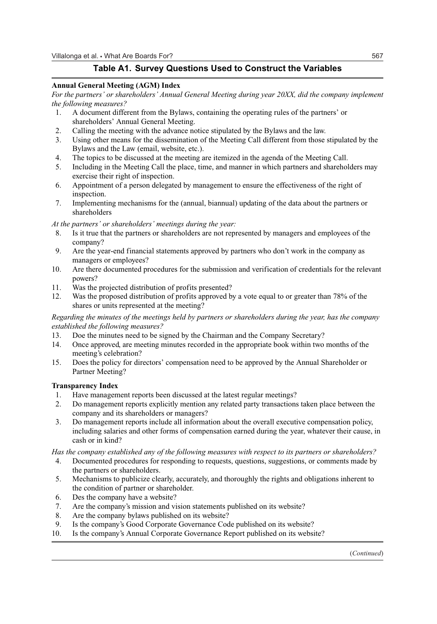# **Table A1. Survey Questions Used to Construct the Variables**

### **Annual General Meeting (AGM) Index**

*For the partners' or shareholders' Annual General Meeting during year 20XX, did the company implement the following measures?*

- 1. A document different from the Bylaws, containing the operating rules of the partners' or shareholders' Annual General Meeting.
- 2. Calling the meeting with the advance notice stipulated by the Bylaws and the law.
- 3. Using other means for the dissemination of the Meeting Call different from those stipulated by the Bylaws and the Law (email, website, etc.).
- 4. The topics to be discussed at the meeting are itemized in the agenda of the Meeting Call.
- 5. Including in the Meeting Call the place, time, and manner in which partners and shareholders may exercise their right of inspection.
- 6. Appointment of a person delegated by management to ensure the effectiveness of the right of inspection.
- 7. Implementing mechanisms for the (annual, biannual) updating of the data about the partners or shareholders

#### *At the partners' or shareholders' meetings during the year:*

- 8. Is it true that the partners or shareholders are not represented by managers and employees of the company?
- 9. Are the year-end financial statements approved by partners who don't work in the company as managers or employees?
- 10. Are there documented procedures for the submission and verification of credentials for the relevant powers?
- 11. Was the projected distribution of profits presented?
- 12. Was the proposed distribution of profits approved by a vote equal to or greater than 78% of the shares or units represented at the meeting?

## *Regarding the minutes of the meetings held by partners or shareholders during the year, has the company established the following measures?*

- 13. Doe the minutes need to be signed by the Chairman and the Company Secretary?
- 14. Once approved, are meeting minutes recorded in the appropriate book within two months of the meeting's celebration?
- 15. Does the policy for directors' compensation need to be approved by the Annual Shareholder or Partner Meeting?

## **Transparency Index**

- 1. Have management reports been discussed at the latest regular meetings?
- 2. Do management reports explicitly mention any related party transactions taken place between the company and its shareholders or managers?
- 3. Do management reports include all information about the overall executive compensation policy, including salaries and other forms of compensation earned during the year, whatever their cause, in cash or in kind?

*Has the company established any of the following measures with respect to its partners or shareholders?*

- 4. Documented procedures for responding to requests, questions, suggestions, or comments made by the partners or shareholders.
- 5. Mechanisms to publicize clearly, accurately, and thoroughly the rights and obligations inherent to the condition of partner or shareholder.
- 6. Des the company have a website?
- 7. Are the company's mission and vision statements published on its website?
- 8. Are the company bylaws published on its website?
- 9. Is the company's Good Corporate Governance Code published on its website?
- 10. Is the company's Annual Corporate Governance Report published on its website?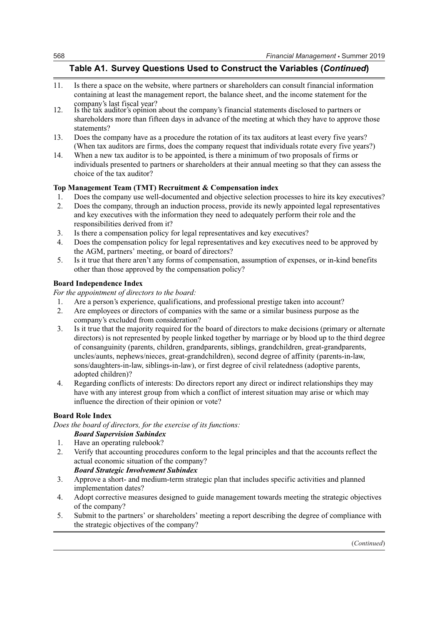# **Table A1. Survey Questions Used to Construct the Variables (***Continued***)**

- 11. Is there a space on the website, where partners or shareholders can consult financial information containing at least the management report, the balance sheet, and the income statement for the company's last fiscal year?
- 12. Is the tax auditor's opinion about the company's financial statements disclosed to partners or shareholders more than fifteen days in advance of the meeting at which they have to approve those statements?
- 13. Does the company have as a procedure the rotation of its tax auditors at least every five years? (When tax auditors are firms, does the company request that individuals rotate every five years?)
- 14. When a new tax auditor is to be appointed, is there a minimum of two proposals of firms or individuals presented to partners or shareholders at their annual meeting so that they can assess the choice of the tax auditor?

# **Top Management Team (TMT) Recruitment & Compensation index**

- 1. Does the company use well-documented and objective selection processes to hire its key executives?
- 2. Does the company, through an induction process, provide its newly appointed legal representatives and key executives with the information they need to adequately perform their role and the responsibilities derived from it?
- 3. Is there a compensation policy for legal representatives and key executives?
- 4. Does the compensation policy for legal representatives and key executives need to be approved by the AGM, partners' meeting, or board of directors?
- 5. Is it true that there aren't any forms of compensation, assumption of expenses, or in-kind benefits other than those approved by the compensation policy?

# **Board Independence Index**

*For the appointment of directors to the board:*

- 1. Are a person's experience, qualifications, and professional prestige taken into account?<br>2. Are employees or directors of companies with the same or a similar business purpose as
- 2. Are employees or directors of companies with the same or a similar business purpose as the company's excluded from consideration?
- 3. Is it true that the majority required for the board of directors to make decisions (primary or alternate directors) is not represented by people linked together by marriage or by blood up to the third degree of consanguinity (parents, children, grandparents, siblings, grandchildren, great-grandparents, uncles/aunts, nephews/nieces, great-grandchildren), second degree of affinity (parents-in-law, sons/daughters-in-law, siblings-in-law), or first degree of civil relatedness (adoptive parents, adopted children)?
- 4. Regarding conflicts of interests: Do directors report any direct or indirect relationships they may have with any interest group from which a conflict of interest situation may arise or which may influence the direction of their opinion or vote?

## **Board Role Index**

*Does the board of directors, for the exercise of its functions:*

# *Board Supervision Subindex*

- 1. Have an operating rulebook?
- 2. Verify that accounting procedures conform to the legal principles and that the accounts reflect the actual economic situation of the company?

# *Board Strategic Involvement Subindex*

- 3. Approve a short- and medium-term strategic plan that includes specific activities and planned implementation dates?
- 4. Adopt corrective measures designed to guide management towards meeting the strategic objectives of the company?
- 5. Submit to the partners' or shareholders' meeting a report describing the degree of compliance with the strategic objectives of the company?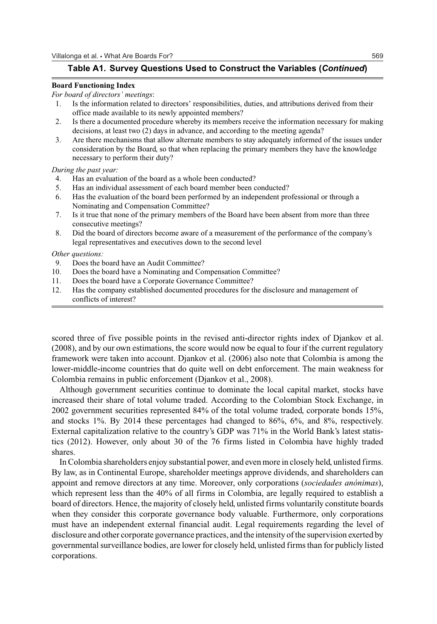## **Table A1. Survey Questions Used to Construct the Variables (***Continued***)**

#### **Board Functioning Index**

#### *For board of directors' meetings*:

- 1. Is the information related to directors' responsibilities, duties, and attributions derived from their office made available to its newly appointed members?
- 2. Is there a documented procedure whereby its members receive the information necessary for making decisions, at least two (2) days in advance, and according to the meeting agenda?
- 3. Are there mechanisms that allow alternate members to stay adequately informed of the issues under consideration by the Board, so that when replacing the primary members they have the knowledge necessary to perform their duty?

#### *During the past year:*

- 4. Has an evaluation of the board as a whole been conducted?
- 5. Has an individual assessment of each board member been conducted?
- 6. Has the evaluation of the board been performed by an independent professional or through a Nominating and Compensation Committee?
- 7. Is it true that none of the primary members of the Board have been absent from more than three consecutive meetings?
- 8. Did the board of directors become aware of a measurement of the performance of the company's legal representatives and executives down to the second level

#### *Other questions:*

- 9. Does the board have an Audit Committee?
- 10. Does the board have a Nominating and Compensation Committee?
- 11. Does the board have a Corporate Governance Committee?
- 12. Has the company established documented procedures for the disclosure and management of conflicts of interest?

scored three of five possible points in the revised anti-director rights index of Djankov et al. (2008), and by our own estimations, the score would now be equal to four if the current regulatory framework were taken into account. Djankov et al. (2006) also note that Colombia is among the lower-middle-income countries that do quite well on debt enforcement. The main weakness for Colombia remains in public enforcement (Djankov et al., 2008).

Although government securities continue to dominate the local capital market, stocks have increased their share of total volume traded. According to the Colombian Stock Exchange, in 2002 government securities represented 84% of the total volume traded, corporate bonds 15%, and stocks 1%. By 2014 these percentages had changed to 86%, 6%, and 8%, respectively. External capitalization relative to the country's GDP was 71% in the World Bank's latest statistics (2012). However, only about 30 of the 76 firms listed in Colombia have highly traded shares.

In Colombia shareholders enjoy substantial power, and even more in closely held, unlisted firms. By law, as in Continental Europe, shareholder meetings approve dividends, and shareholders can appoint and remove directors at any time. Moreover, only corporations (*sociedades anónimas*), which represent less than the 40% of all firms in Colombia, are legally required to establish a board of directors. Hence, the majority of closely held, unlisted firms voluntarily constitute boards when they consider this corporate governance body valuable. Furthermore, only corporations must have an independent external financial audit. Legal requirements regarding the level of disclosure and other corporate governance practices, and the intensity of the supervision exerted by governmental surveillance bodies, are lower for closely held, unlisted firms than for publicly listed corporations.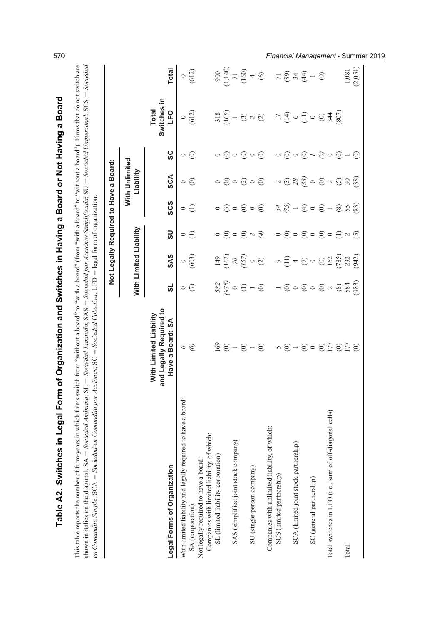| $1,140$<br>$71$<br>$160$<br>$4$<br>5877<br>Switches in<br><b>Total</b><br><b>Dan</b><br>(612)<br>$\frac{8}{165}$<br>(108)<br>$\begin{array}{c}\n\stackrel{\frown}{\sim} \\ \stackrel{\frown}{\sim} \\ \stackrel{\frown}{\sim} \\ \stackrel{\frown}{\sim} \\ \stackrel{\frown}{\sim} \\ \stackrel{\frown}{\sim} \\ \stackrel{\frown}{\sim} \\ \stackrel{\frown}{\sim} \\ \stackrel{\frown}{\sim} \\ \stackrel{\frown}{\sim} \\ \stackrel{\frown}{\sim} \\ \stackrel{\frown}{\sim} \\ \stackrel{\frown}{\sim} \\ \stackrel{\frown}{\sim} \\ \stackrel{\frown}{\sim} \\ \stackrel{\frown}{\sim} \\ \stackrel{\frown}{\sim} \\ \stackrel{\frown}{\sim} \\ \stackrel{\frown}{\sim} \\ \stackrel$<br>344<br>$\widehat{\mathbf{e}}$<br>$\widehat{\omega} \circ \widehat{\omega}$<br>$\circ$<br>SC<br>$\odot$<br>$\odot$<br>$\odot$<br>$\odot$<br>$\odot$ $\circ$ $\odot$ $\sim$<br>$\mathfrak{S} \circ$<br>$\odot$ -<br>$\widehat{\in}$<br>$\circ$<br>$\circ$<br>$\circ$<br>With Unlimited<br>Liability<br>SCA<br>680<br>(38)<br>$\circ$ $\circ$<br>$\odot$ $\sim$ $\odot$ $\approx$<br>$\widehat{\odot} \circ \widehat{\odot} \circ$<br>$\odot$<br>$\sim$<br>SCS<br>$\begin{array}{c}\n\stackrel{\rightarrow}{\sim} \\ \stackrel{\rightarrow}{\sim} \\ \stackrel{\rightarrow}{\sim} \\ \stackrel{\rightarrow}{\sim} \\ \stackrel{\rightarrow}{\sim} \\ \stackrel{\rightarrow}{\sim} \\ \stackrel{\rightarrow}{\sim} \\ \stackrel{\rightarrow}{\sim} \\ \stackrel{\rightarrow}{\sim} \\ \stackrel{\rightarrow}{\sim} \\ \stackrel{\rightarrow}{\sim} \\ \stackrel{\rightarrow}{\sim} \\ \stackrel{\rightarrow}{\sim} \\ \stackrel{\rightarrow}{\sim} \\ \stackrel{\rightarrow}{\sim} \\ \stackrel{\rightarrow}{\sim} \\ \stackrel{\rightarrow}{\sim} \\ \stackrel{\rightarrow}{\sim} \\ \stackrel{\rightarrow}{\sim} \\ \stackrel{\rightarrow}{\sim} \\ \stackrel{\rightarrow}{\sim} \\ \stack$<br>(83)<br>$\odot$ -<br>$\circ$ $\ominus$<br>60000<br>$\circledcirc$ 55<br>With Limited Liability<br>Ω<br>$\circ$ $\ominus$<br>$\odot \circ$<br>$\widehat{\odot}$ $\circ$ $\widehat{\odot}$ $\circ$<br>$\widehat{\circ}$<br>$\ominus$ $\sim$<br>$\widehat{\odot}$<br>$\mathcal{F}$<br><u>ර</u><br>$\circ$<br>$\circ$<br><b>SAS</b><br>$\frac{2}{7}$ , $\frac{2}{7}$ , $\frac{2}{7}$ , $\frac{2}{7}$ , $\frac{2}{7}$<br>(785)<br>(942)<br>$\frac{0}{603}$<br>162<br>232<br>149<br>$\circ \exists \star \epsilon \circ$<br>$\odot$<br>$\overline{8}$ o $\ominus$ - $\ominus$<br>983)<br>582<br>584<br>ದ<br>$\odot \sim \otimes$<br>$\circ \in$<br>$\widehat{\odot} \circ \widehat{\odot} \circ$<br>and Legally Required to<br>With Limited Liability<br>Have a Board: SA<br>69<br>177<br>$rac{177}{177}$<br>$\widehat{\odot}$ –<br>$\widehat{e}$<br>$\widehat{\odot}$ $\circ$<br>$\odot$<br>$\widehat{\odot}$ -<br>$\odot$ -<br>$\widehat{c}$<br>$\widehat{e}$<br>$\circ$<br>5<br>With limited liability and legally required to have a board:<br>Total switches in LFO (i.e., sum of off-diagonal cells)<br>of which:<br>Companies with limited liability, of which:<br>SAS (simplified joint stock company)<br>SCA (limited joint stock partnership)<br>SL (limited liability corporation)<br>Companies with unlimited liability,<br>Not legally required to have a board:<br>Legal Forms of Organization<br>SU (single-person company)<br>SCS (limited partnership)<br>SC (general partnership)<br>SA (corporation)<br>Total |  |  |  | Not Legally Required to Have a Board: |  |              |
|------------------------------------------------------------------------------------------------------------------------------------------------------------------------------------------------------------------------------------------------------------------------------------------------------------------------------------------------------------------------------------------------------------------------------------------------------------------------------------------------------------------------------------------------------------------------------------------------------------------------------------------------------------------------------------------------------------------------------------------------------------------------------------------------------------------------------------------------------------------------------------------------------------------------------------------------------------------------------------------------------------------------------------------------------------------------------------------------------------------------------------------------------------------------------------------------------------------------------------------------------------------------------------------------------------------------------------------------------------------------------------------------------------------------------------------------------------------------------------------------------------------------------------------------------------------------------------------------------------------------------------------------------------------------------------------------------------------------------------------------------------------------------------------------------------------------------------------------------------------------------------------------------------------------------------------------------------------------------------------------------------------------------------------------------------------------------------------------------------------------------------------------------------------------------------------------------------------------------------------------------------------------------------------------------------------------------------------------------------------------------------------------------------------------------------------------------------------------------------------------------------------------------------------------------------------------------------------------------------------------------------------------------------------------------------------------------------------------------------------------------------------------------------------------------------------------------------------------------------------------------------------------------------------------------------------------------------------------------------------------------------------------------------------------------------------------------------------------------------------------------------------------------------------------------------------------------------------------------------------------------------------------------------------------------------------------------------------------------------------------------------------------------------------------|--|--|--|---------------------------------------|--|--------------|
|                                                                                                                                                                                                                                                                                                                                                                                                                                                                                                                                                                                                                                                                                                                                                                                                                                                                                                                                                                                                                                                                                                                                                                                                                                                                                                                                                                                                                                                                                                                                                                                                                                                                                                                                                                                                                                                                                                                                                                                                                                                                                                                                                                                                                                                                                                                                                                                                                                                                                                                                                                                                                                                                                                                                                                                                                                                                                                                                                                                                                                                                                                                                                                                                                                                                                                                                                                                                                        |  |  |  |                                       |  |              |
|                                                                                                                                                                                                                                                                                                                                                                                                                                                                                                                                                                                                                                                                                                                                                                                                                                                                                                                                                                                                                                                                                                                                                                                                                                                                                                                                                                                                                                                                                                                                                                                                                                                                                                                                                                                                                                                                                                                                                                                                                                                                                                                                                                                                                                                                                                                                                                                                                                                                                                                                                                                                                                                                                                                                                                                                                                                                                                                                                                                                                                                                                                                                                                                                                                                                                                                                                                                                                        |  |  |  |                                       |  | Total        |
|                                                                                                                                                                                                                                                                                                                                                                                                                                                                                                                                                                                                                                                                                                                                                                                                                                                                                                                                                                                                                                                                                                                                                                                                                                                                                                                                                                                                                                                                                                                                                                                                                                                                                                                                                                                                                                                                                                                                                                                                                                                                                                                                                                                                                                                                                                                                                                                                                                                                                                                                                                                                                                                                                                                                                                                                                                                                                                                                                                                                                                                                                                                                                                                                                                                                                                                                                                                                                        |  |  |  |                                       |  | $\circ$      |
|                                                                                                                                                                                                                                                                                                                                                                                                                                                                                                                                                                                                                                                                                                                                                                                                                                                                                                                                                                                                                                                                                                                                                                                                                                                                                                                                                                                                                                                                                                                                                                                                                                                                                                                                                                                                                                                                                                                                                                                                                                                                                                                                                                                                                                                                                                                                                                                                                                                                                                                                                                                                                                                                                                                                                                                                                                                                                                                                                                                                                                                                                                                                                                                                                                                                                                                                                                                                                        |  |  |  |                                       |  | (612)        |
|                                                                                                                                                                                                                                                                                                                                                                                                                                                                                                                                                                                                                                                                                                                                                                                                                                                                                                                                                                                                                                                                                                                                                                                                                                                                                                                                                                                                                                                                                                                                                                                                                                                                                                                                                                                                                                                                                                                                                                                                                                                                                                                                                                                                                                                                                                                                                                                                                                                                                                                                                                                                                                                                                                                                                                                                                                                                                                                                                                                                                                                                                                                                                                                                                                                                                                                                                                                                                        |  |  |  |                                       |  |              |
|                                                                                                                                                                                                                                                                                                                                                                                                                                                                                                                                                                                                                                                                                                                                                                                                                                                                                                                                                                                                                                                                                                                                                                                                                                                                                                                                                                                                                                                                                                                                                                                                                                                                                                                                                                                                                                                                                                                                                                                                                                                                                                                                                                                                                                                                                                                                                                                                                                                                                                                                                                                                                                                                                                                                                                                                                                                                                                                                                                                                                                                                                                                                                                                                                                                                                                                                                                                                                        |  |  |  |                                       |  |              |
|                                                                                                                                                                                                                                                                                                                                                                                                                                                                                                                                                                                                                                                                                                                                                                                                                                                                                                                                                                                                                                                                                                                                                                                                                                                                                                                                                                                                                                                                                                                                                                                                                                                                                                                                                                                                                                                                                                                                                                                                                                                                                                                                                                                                                                                                                                                                                                                                                                                                                                                                                                                                                                                                                                                                                                                                                                                                                                                                                                                                                                                                                                                                                                                                                                                                                                                                                                                                                        |  |  |  |                                       |  | 900          |
|                                                                                                                                                                                                                                                                                                                                                                                                                                                                                                                                                                                                                                                                                                                                                                                                                                                                                                                                                                                                                                                                                                                                                                                                                                                                                                                                                                                                                                                                                                                                                                                                                                                                                                                                                                                                                                                                                                                                                                                                                                                                                                                                                                                                                                                                                                                                                                                                                                                                                                                                                                                                                                                                                                                                                                                                                                                                                                                                                                                                                                                                                                                                                                                                                                                                                                                                                                                                                        |  |  |  |                                       |  |              |
|                                                                                                                                                                                                                                                                                                                                                                                                                                                                                                                                                                                                                                                                                                                                                                                                                                                                                                                                                                                                                                                                                                                                                                                                                                                                                                                                                                                                                                                                                                                                                                                                                                                                                                                                                                                                                                                                                                                                                                                                                                                                                                                                                                                                                                                                                                                                                                                                                                                                                                                                                                                                                                                                                                                                                                                                                                                                                                                                                                                                                                                                                                                                                                                                                                                                                                                                                                                                                        |  |  |  |                                       |  |              |
|                                                                                                                                                                                                                                                                                                                                                                                                                                                                                                                                                                                                                                                                                                                                                                                                                                                                                                                                                                                                                                                                                                                                                                                                                                                                                                                                                                                                                                                                                                                                                                                                                                                                                                                                                                                                                                                                                                                                                                                                                                                                                                                                                                                                                                                                                                                                                                                                                                                                                                                                                                                                                                                                                                                                                                                                                                                                                                                                                                                                                                                                                                                                                                                                                                                                                                                                                                                                                        |  |  |  |                                       |  |              |
|                                                                                                                                                                                                                                                                                                                                                                                                                                                                                                                                                                                                                                                                                                                                                                                                                                                                                                                                                                                                                                                                                                                                                                                                                                                                                                                                                                                                                                                                                                                                                                                                                                                                                                                                                                                                                                                                                                                                                                                                                                                                                                                                                                                                                                                                                                                                                                                                                                                                                                                                                                                                                                                                                                                                                                                                                                                                                                                                                                                                                                                                                                                                                                                                                                                                                                                                                                                                                        |  |  |  |                                       |  |              |
|                                                                                                                                                                                                                                                                                                                                                                                                                                                                                                                                                                                                                                                                                                                                                                                                                                                                                                                                                                                                                                                                                                                                                                                                                                                                                                                                                                                                                                                                                                                                                                                                                                                                                                                                                                                                                                                                                                                                                                                                                                                                                                                                                                                                                                                                                                                                                                                                                                                                                                                                                                                                                                                                                                                                                                                                                                                                                                                                                                                                                                                                                                                                                                                                                                                                                                                                                                                                                        |  |  |  |                                       |  | $\copyright$ |
|                                                                                                                                                                                                                                                                                                                                                                                                                                                                                                                                                                                                                                                                                                                                                                                                                                                                                                                                                                                                                                                                                                                                                                                                                                                                                                                                                                                                                                                                                                                                                                                                                                                                                                                                                                                                                                                                                                                                                                                                                                                                                                                                                                                                                                                                                                                                                                                                                                                                                                                                                                                                                                                                                                                                                                                                                                                                                                                                                                                                                                                                                                                                                                                                                                                                                                                                                                                                                        |  |  |  |                                       |  |              |
|                                                                                                                                                                                                                                                                                                                                                                                                                                                                                                                                                                                                                                                                                                                                                                                                                                                                                                                                                                                                                                                                                                                                                                                                                                                                                                                                                                                                                                                                                                                                                                                                                                                                                                                                                                                                                                                                                                                                                                                                                                                                                                                                                                                                                                                                                                                                                                                                                                                                                                                                                                                                                                                                                                                                                                                                                                                                                                                                                                                                                                                                                                                                                                                                                                                                                                                                                                                                                        |  |  |  |                                       |  |              |
|                                                                                                                                                                                                                                                                                                                                                                                                                                                                                                                                                                                                                                                                                                                                                                                                                                                                                                                                                                                                                                                                                                                                                                                                                                                                                                                                                                                                                                                                                                                                                                                                                                                                                                                                                                                                                                                                                                                                                                                                                                                                                                                                                                                                                                                                                                                                                                                                                                                                                                                                                                                                                                                                                                                                                                                                                                                                                                                                                                                                                                                                                                                                                                                                                                                                                                                                                                                                                        |  |  |  |                                       |  |              |
|                                                                                                                                                                                                                                                                                                                                                                                                                                                                                                                                                                                                                                                                                                                                                                                                                                                                                                                                                                                                                                                                                                                                                                                                                                                                                                                                                                                                                                                                                                                                                                                                                                                                                                                                                                                                                                                                                                                                                                                                                                                                                                                                                                                                                                                                                                                                                                                                                                                                                                                                                                                                                                                                                                                                                                                                                                                                                                                                                                                                                                                                                                                                                                                                                                                                                                                                                                                                                        |  |  |  |                                       |  |              |
|                                                                                                                                                                                                                                                                                                                                                                                                                                                                                                                                                                                                                                                                                                                                                                                                                                                                                                                                                                                                                                                                                                                                                                                                                                                                                                                                                                                                                                                                                                                                                                                                                                                                                                                                                                                                                                                                                                                                                                                                                                                                                                                                                                                                                                                                                                                                                                                                                                                                                                                                                                                                                                                                                                                                                                                                                                                                                                                                                                                                                                                                                                                                                                                                                                                                                                                                                                                                                        |  |  |  |                                       |  |              |
|                                                                                                                                                                                                                                                                                                                                                                                                                                                                                                                                                                                                                                                                                                                                                                                                                                                                                                                                                                                                                                                                                                                                                                                                                                                                                                                                                                                                                                                                                                                                                                                                                                                                                                                                                                                                                                                                                                                                                                                                                                                                                                                                                                                                                                                                                                                                                                                                                                                                                                                                                                                                                                                                                                                                                                                                                                                                                                                                                                                                                                                                                                                                                                                                                                                                                                                                                                                                                        |  |  |  |                                       |  |              |
|                                                                                                                                                                                                                                                                                                                                                                                                                                                                                                                                                                                                                                                                                                                                                                                                                                                                                                                                                                                                                                                                                                                                                                                                                                                                                                                                                                                                                                                                                                                                                                                                                                                                                                                                                                                                                                                                                                                                                                                                                                                                                                                                                                                                                                                                                                                                                                                                                                                                                                                                                                                                                                                                                                                                                                                                                                                                                                                                                                                                                                                                                                                                                                                                                                                                                                                                                                                                                        |  |  |  |                                       |  | $\odot$      |
|                                                                                                                                                                                                                                                                                                                                                                                                                                                                                                                                                                                                                                                                                                                                                                                                                                                                                                                                                                                                                                                                                                                                                                                                                                                                                                                                                                                                                                                                                                                                                                                                                                                                                                                                                                                                                                                                                                                                                                                                                                                                                                                                                                                                                                                                                                                                                                                                                                                                                                                                                                                                                                                                                                                                                                                                                                                                                                                                                                                                                                                                                                                                                                                                                                                                                                                                                                                                                        |  |  |  |                                       |  |              |
|                                                                                                                                                                                                                                                                                                                                                                                                                                                                                                                                                                                                                                                                                                                                                                                                                                                                                                                                                                                                                                                                                                                                                                                                                                                                                                                                                                                                                                                                                                                                                                                                                                                                                                                                                                                                                                                                                                                                                                                                                                                                                                                                                                                                                                                                                                                                                                                                                                                                                                                                                                                                                                                                                                                                                                                                                                                                                                                                                                                                                                                                                                                                                                                                                                                                                                                                                                                                                        |  |  |  |                                       |  |              |
|                                                                                                                                                                                                                                                                                                                                                                                                                                                                                                                                                                                                                                                                                                                                                                                                                                                                                                                                                                                                                                                                                                                                                                                                                                                                                                                                                                                                                                                                                                                                                                                                                                                                                                                                                                                                                                                                                                                                                                                                                                                                                                                                                                                                                                                                                                                                                                                                                                                                                                                                                                                                                                                                                                                                                                                                                                                                                                                                                                                                                                                                                                                                                                                                                                                                                                                                                                                                                        |  |  |  |                                       |  | 1,081        |
|                                                                                                                                                                                                                                                                                                                                                                                                                                                                                                                                                                                                                                                                                                                                                                                                                                                                                                                                                                                                                                                                                                                                                                                                                                                                                                                                                                                                                                                                                                                                                                                                                                                                                                                                                                                                                                                                                                                                                                                                                                                                                                                                                                                                                                                                                                                                                                                                                                                                                                                                                                                                                                                                                                                                                                                                                                                                                                                                                                                                                                                                                                                                                                                                                                                                                                                                                                                                                        |  |  |  |                                       |  | (2,051)      |

Table A2. Switches in Legal Form of Organization and Switches in Having a Board or Not Having a Board

Table A2. Switches in Legal Form of Organization and Switches in Having a Board or Not Having a Board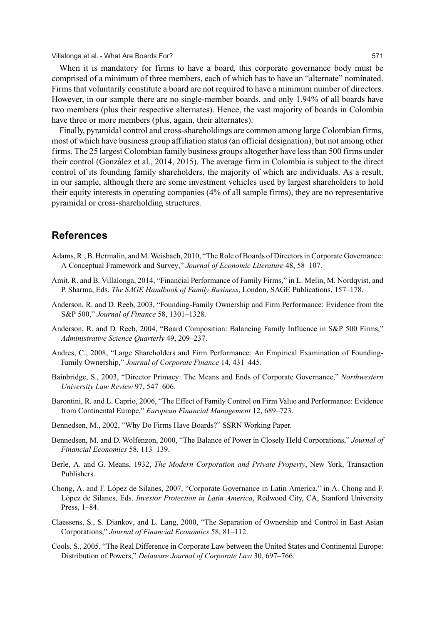When it is mandatory for firms to have a board, this corporate governance body must be comprised of a minimum of three members, each of which has to have an "alternate" nominated. Firms that voluntarily constitute a board are not required to have a minimum number of directors. However, in our sample there are no single-member boards, and only 1.94% of all boards have two members (plus their respective alternates). Hence, the vast majority of boards in Colombia have three or more members (plus, again, their alternates).

Finally, pyramidal control and cross-shareholdings are common among large Colombian firms, most of which have business group affiliation status (an official designation), but not among other firms. The 25 largest Colombian family business groups altogether have less than 500 firms under their control (Gonzalez et al., 2014, 2015). The average firm in Colombia is subject to the direct ´ control of its founding family shareholders, the majority of which are individuals. As a result, in our sample, although there are some investment vehicles used by largest shareholders to hold their equity interests in operating companies (4% of all sample firms), they are no representative pyramidal or cross-shareholding structures.

# **References**

- Adams, R., B. Hermalin, and M. Weisbach, 2010, "The Role of Boards of Directors in Corporate Governance: A Conceptual Framework and Survey," *Journal of Economic Literature* 48, 58–107.
- Amit, R. and B. Villalonga, 2014, "Financial Performance of Family Firms," in L. Melin, M. Nordqvist, and P. Sharma, Eds. *The SAGE Handbook of Family Business*, London, SAGE Publications, 157–178.
- Anderson, R. and D. Reeb, 2003, "Founding-Family Ownership and Firm Performance: Evidence from the S&P 500," *Journal of Finance* 58, 1301–1328.
- Anderson, R. and D. Reeb, 2004, "Board Composition: Balancing Family Influence in S&P 500 Firms," *Administrative Science Quarterly* 49, 209–237.
- Andres, C., 2008, "Large Shareholders and Firm Performance: An Empirical Examination of Founding-Family Ownership," *Journal of Corporate Finance* 14, 431–445.
- Bainbridge, S., 2003, "Director Primacy: The Means and Ends of Corporate Governance," *Northwestern University Law Review* 97, 547–606.
- Barontini, R. and L. Caprio, 2006, "The Effect of Family Control on Firm Value and Performance: Evidence from Continental Europe," *European Financial Management* 12, 689–723.
- Bennedsen, M., 2002, "Why Do Firms Have Boards?" SSRN Working Paper.
- Bennedsen, M. and D. Wolfenzon, 2000, "The Balance of Power in Closely Held Corporations," *Journal of Financial Economics* 58, 113–139.
- Berle, A. and G. Means, 1932, *The Modern Corporation and Private Property*, New York, Transaction Publishers.
- Chong, A. and F. Lopez de Silanes, 2007, "Corporate Governance in Latin America," in A. Chong and F. ´ López de Silanes, Eds. *Investor Protection in Latin America*, Redwood City, CA, Stanford University Press, 1–84.
- Claessens, S., S. Djankov, and L. Lang, 2000, "The Separation of Ownership and Control in East Asian Corporations," *Journal of Financial Economics* 58, 81–112.
- Cools, S., 2005, "The Real Difference in Corporate Law between the United States and Continental Europe: Distribution of Powers," *Delaware Journal of Corporate Law* 30, 697–766.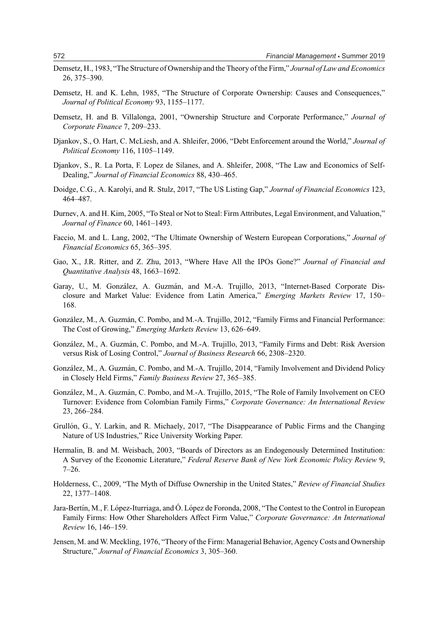- Demsetz, H., 1983, "The Structure of Ownership and the Theory of the Firm," *Journal of Law and Economics* 26, 375–390.
- Demsetz, H. and K. Lehn, 1985, "The Structure of Corporate Ownership: Causes and Consequences," *Journal of Political Economy* 93, 1155–1177.
- Demsetz, H. and B. Villalonga, 2001, "Ownership Structure and Corporate Performance," *Journal of Corporate Finance* 7, 209–233.
- Djankov, S., O. Hart, C. McLiesh, and A. Shleifer, 2006, "Debt Enforcement around the World," *Journal of Political Economy* 116, 1105–1149.
- Djankov, S., R. La Porta, F. Lopez de Silanes, and A. Shleifer, 2008, "The Law and Economics of Self-Dealing," *Journal of Financial Economics* 88, 430–465.
- Doidge, C.G., A. Karolyi, and R. Stulz, 2017, "The US Listing Gap," *Journal of Financial Economics* 123, 464–487.
- Durnev, A. and H. Kim, 2005, "To Steal or Not to Steal: Firm Attributes, Legal Environment, and Valuation," *Journal of Finance* 60, 1461–1493.
- Faccio, M. and L. Lang, 2002, "The Ultimate Ownership of Western European Corporations," *Journal of Financial Economics* 65, 365–395.
- Gao, X., J.R. Ritter, and Z. Zhu, 2013, "Where Have All the IPOs Gone?" *Journal of Financial and Quantitative Analysis* 48, 1663–1692.
- Garay, U., M. González, A. Guzmán, and M.-A. Trujillo, 2013, "Internet-Based Corporate Disclosure and Market Value: Evidence from Latin America," *Emerging Markets Review* 17, 150– 168.
- González, M., A. Guzmán, C. Pombo, and M.-A. Trujillo, 2012, "Family Firms and Financial Performance: The Cost of Growing," *Emerging Markets Review* 13, 626–649.
- González, M., A. Guzmán, C. Pombo, and M.-A. Trujillo, 2013, "Family Firms and Debt: Risk Aversion versus Risk of Losing Control," *Journal of Business Research* 66, 2308–2320.
- González, M., A. Guzmán, C. Pombo, and M.-A. Trujillo, 2014, "Family Involvement and Dividend Policy in Closely Held Firms," *Family Business Review* 27, 365–385.
- González, M., A. Guzmán, C. Pombo, and M.-A. Trujillo, 2015, "The Role of Family Involvement on CEO Turnover: Evidence from Colombian Family Firms," *Corporate Governance: An International Review* 23, 266–284.
- Grullón, G., Y. Larkin, and R. Michaely, 2017, "The Disappearance of Public Firms and the Changing Nature of US Industries," Rice University Working Paper.
- Hermalin, B. and M. Weisbach, 2003, "Boards of Directors as an Endogenously Determined Institution: A Survey of the Economic Literature," *Federal Reserve Bank of New York Economic Policy Review* 9, 7–26.
- Holderness, C., 2009, "The Myth of Diffuse Ownership in the United States," *Review of Financial Studies* 22, 1377–1408.
- Jara-Bertín, M., F. López-Iturriaga, and Ó. López de Foronda, 2008, "The Contest to the Control in European Family Firms: How Other Shareholders Affect Firm Value," *Corporate Governance: An International Review* 16, 146–159.
- Jensen, M. and W. Meckling, 1976, "Theory of the Firm: Managerial Behavior, Agency Costs and Ownership Structure," *Journal of Financial Economics* 3, 305–360.